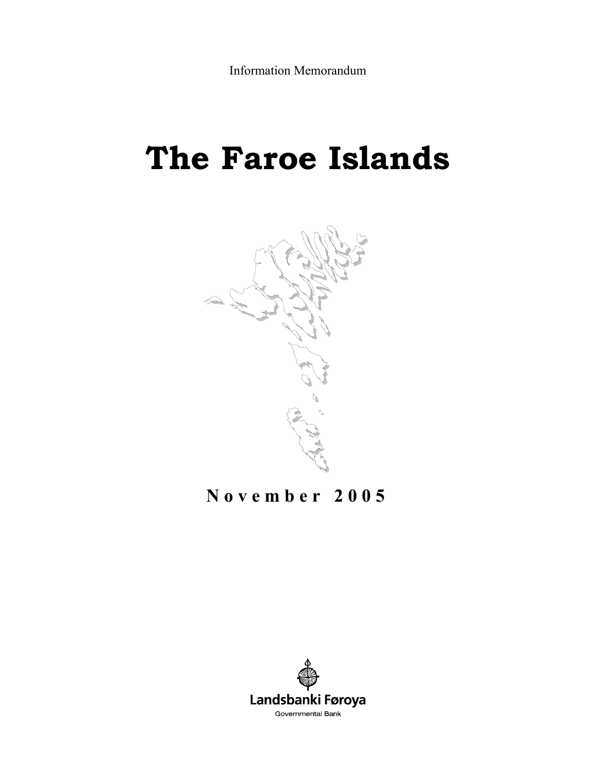# **The Faroe Islands**



## **November 2005**

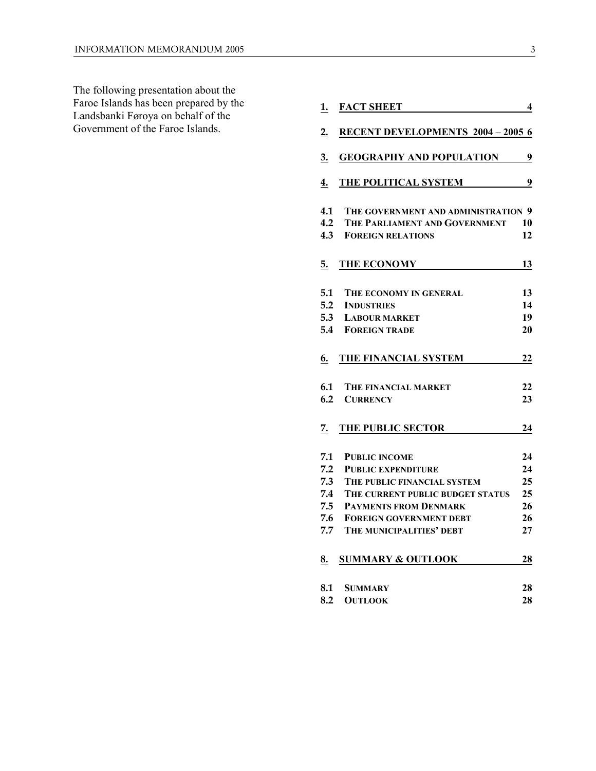The following presentation about the Faroe Islands has been prepared by the Landsbanki Føroya on behalf of the Government of the Faroe Islands.

| <u>1.</u> | <b>FACT SHEET</b>                        | 4  |
|-----------|------------------------------------------|----|
| 2.        | <b>RECENT DEVELOPMENTS 2004 - 2005 6</b> |    |
| 3.        | <b>GEOGRAPHY AND POPULATION</b>          | 9  |
| 4.        | THE POLITICAL SYSTEM                     | 9  |
| 4.1       | THE GOVERNMENT AND ADMINISTRATION 9      |    |
| 4.2       | THE PARLIAMENT AND GOVERNMENT            | 10 |
| 4.3       | <b>FOREIGN RELATIONS</b>                 | 12 |
| 5.        | THE ECONOMY                              | 13 |
| 5.1       | THE ECONOMY IN GENERAL                   | 13 |
| 5.2       | <b>INDUSTRIES</b>                        | 14 |
| 5.3       | <b>LABOUR MARKET</b>                     | 19 |
| 5.4       | <b>FOREIGN TRADE</b>                     | 20 |
| 6.        | THE FINANCIAL SYSTEM                     | 22 |
| 6.1       | <b>THE FINANCIAL MARKET</b>              | 22 |
| 6.2       | <b>CURRENCY</b>                          | 23 |
| 7.        | THE PUBLIC SECTOR                        | 24 |
| 7.1       | <b>PUBLIC INCOME</b>                     | 24 |
| 7.2       | <b>PUBLIC EXPENDITURE</b>                | 24 |
| 7.3       | THE PUBLIC FINANCIAL SYSTEM              | 25 |
| 7.4       | THE CURRENT PUBLIC BUDGET STATUS         | 25 |
| 7.5       | <b>PAYMENTS FROM DENMARK</b>             | 26 |
| 7.6       | <b>FOREIGN GOVERNMENT DEBT</b>           | 26 |
| 7.7       | THE MUNICIPALITIES' DEBT                 | 27 |
| 8.        | <b>SUMMARY &amp; OUTLOOK</b>             | 28 |
| 8.1       | <b>SUMMARY</b>                           | 28 |
| 8.2       | <b>OUTLOOK</b>                           | 28 |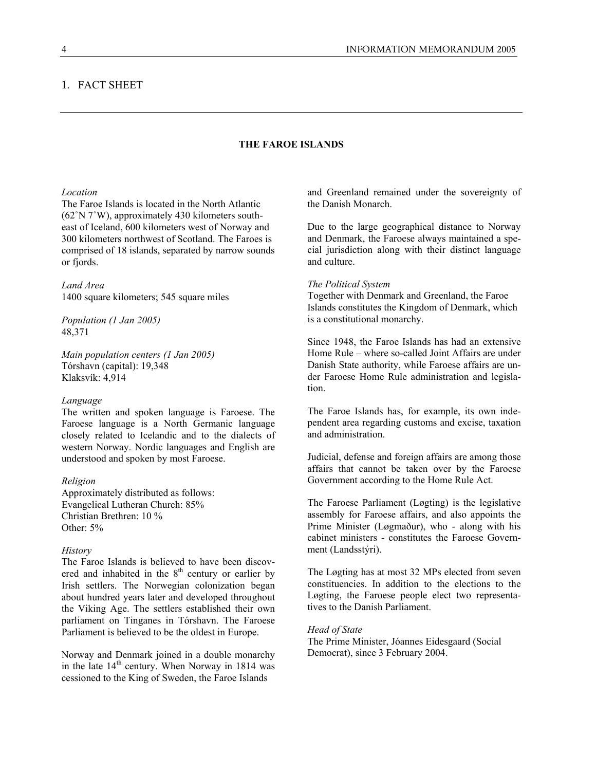#### 1. FACT SHEET

### **THE FAROE ISLANDS**

#### *Location*

The Faroe Islands is located in the North Atlantic (62˚N 7˚W), approximately 430 kilometers southeast of Iceland, 600 kilometers west of Norway and 300 kilometers northwest of Scotland. The Faroes is comprised of 18 islands, separated by narrow sounds or fjords.

## *Land Area*

1400 square kilometers; 545 square miles

*Population (1 Jan 2005)*  48,371

*Main population centers (1 Jan 2005)*  Tórshavn (capital): 19,348 Klaksvík: 4,914

#### *Language*

The written and spoken language is Faroese. The Faroese language is a North Germanic language closely related to Icelandic and to the dialects of western Norway. Nordic languages and English are understood and spoken by most Faroese.

#### *Religion*

Approximately distributed as follows: Evangelical Lutheran Church: 85% Christian Brethren: 10 % Other: 5%

#### *History*

The Faroe Islands is believed to have been discovered and inhabited in the  $8<sup>th</sup>$  century or earlier by Irish settlers. The Norwegian colonization began about hundred years later and developed throughout the Viking Age. The settlers established their own parliament on Tinganes in Tórshavn. The Faroese Parliament is believed to be the oldest in Europe.

Norway and Denmark joined in a double monarchy in the late  $14<sup>th</sup>$  century. When Norway in 1814 was cessioned to the King of Sweden, the Faroe Islands

and Greenland remained under the sovereignty of the Danish Monarch.

Due to the large geographical distance to Norway and Denmark, the Faroese always maintained a special jurisdiction along with their distinct language and culture.

#### *The Political System*

Together with Denmark and Greenland, the Faroe Islands constitutes the Kingdom of Denmark, which is a constitutional monarchy.

Since 1948, the Faroe Islands has had an extensive Home Rule – where so-called Joint Affairs are under Danish State authority, while Faroese affairs are under Faroese Home Rule administration and legislation.

The Faroe Islands has, for example, its own independent area regarding customs and excise, taxation and administration.

Judicial, defense and foreign affairs are among those affairs that cannot be taken over by the Faroese Government according to the Home Rule Act.

The Faroese Parliament (Løgting) is the legislative assembly for Faroese affairs, and also appoints the Prime Minister (Løgmaður), who - along with his cabinet ministers - constitutes the Faroese Government (Landsstýri).

The Løgting has at most 32 MPs elected from seven constituencies. In addition to the elections to the Løgting, the Faroese people elect two representatives to the Danish Parliament.

#### *Head of State*

The Prime Minister, Jóannes Eidesgaard (Social Democrat), since 3 February 2004.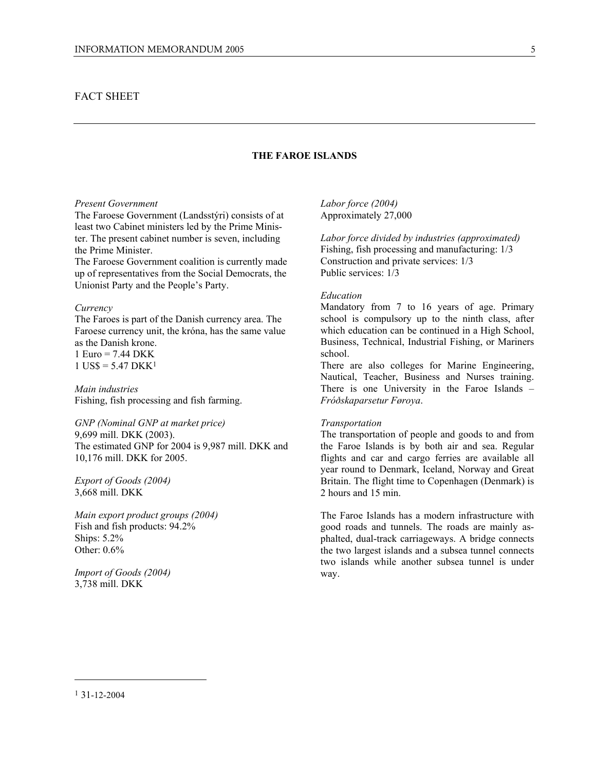## FACT SHEET

## **THE FAROE ISLANDS**

#### *Present Government*

The Faroese Government (Landsstýri) consists of at least two Cabinet ministers led by the Prime Minister. The present cabinet number is seven, including the Prime Minister.

The Faroese Government coalition is currently made up of representatives from the Social Democrats, the Unionist Party and the People's Party.

#### *Currency*

The Faroes is part of the Danish currency area. The Faroese currency unit, the króna, has the same value as the Danish krone. 1 Euro = 7.44 DKK  $1$  US\$ = 5.47 DKK<sup>1</sup>

*Main industries*  Fishing, fish processing and fish farming.

*GNP (Nominal GNP at market price)*  9,699 mill. DKK (2003). The estimated GNP for 2004 is 9,987 mill. DKK and 10,176 mill. DKK for 2005.

*Export of Goods (2004)*  3,668 mill. DKK

*Main export product groups (2004)*  Fish and fish products: 94.2% Ships: 5.2% Other: 0.6%

*Import of Goods (2004)*  3,738 mill. DKK

*Labor force (2004)* Approximately 27,000

*Labor force divided by industries (approximated)*  Fishing, fish processing and manufacturing: 1/3 Construction and private services: 1/3 Public services: 1/3

#### *Education*

Mandatory from 7 to 16 years of age. Primary school is compulsory up to the ninth class, after which education can be continued in a High School, Business, Technical, Industrial Fishing, or Mariners school.

There are also colleges for Marine Engineering, Nautical, Teacher, Business and Nurses training. There is one University in the Faroe Islands – *Fróðskaparsetur Føroya*.

#### *Transportation*

The transportation of people and goods to and from the Faroe Islands is by both air and sea. Regular flights and car and cargo ferries are available all year round to Denmark, Iceland, Norway and Great Britain. The flight time to Copenhagen (Denmark) is 2 hours and 15 min.

The Faroe Islands has a modern infrastructure with good roads and tunnels. The roads are mainly asphalted, dual-track carriageways. A bridge connects the two largest islands and a subsea tunnel connects two islands while another subsea tunnel is under way.

<sup>1 31-12-2004</sup>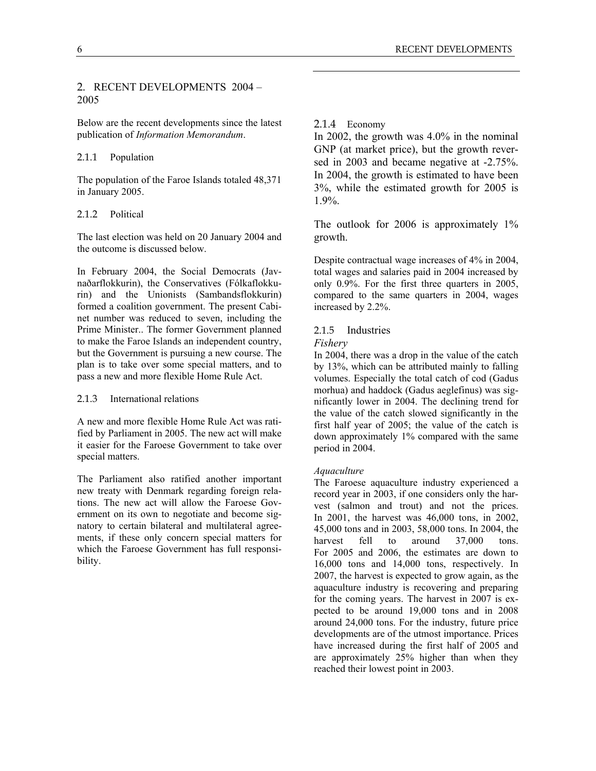## 2. RECENT DEVELOPMENTS 2004 – 2005

Below are the recent developments since the latest publication of *Information Memorandum*.

## 2.1.1 Population

The population of the Faroe Islands totaled 48,371 in January 2005.

## 2.1.2 Political

The last election was held on 20 January 2004 and the outcome is discussed below.

In February 2004, the Social Democrats (Javnaðarflokkurin), the Conservatives (Fólkaflokkurin) and the Unionists (Sambandsflokkurin) formed a coalition government. The present Cabinet number was reduced to seven, including the Prime Minister.. The former Government planned to make the Faroe Islands an independent country, but the Government is pursuing a new course. The plan is to take over some special matters, and to pass a new and more flexible Home Rule Act.

#### 2.1.3 International relations

A new and more flexible Home Rule Act was ratified by Parliament in 2005. The new act will make it easier for the Faroese Government to take over special matters.

The Parliament also ratified another important new treaty with Denmark regarding foreign relations. The new act will allow the Faroese Government on its own to negotiate and become signatory to certain bilateral and multilateral agreements, if these only concern special matters for which the Faroese Government has full responsibility.

## 2.1.4 Economy

In 2002, the growth was 4.0% in the nominal GNP (at market price), but the growth reversed in 2003 and became negative at -2.75%. In 2004, the growth is estimated to have been 3%, while the estimated growth for 2005 is 1.9%.

The outlook for 2006 is approximately 1% growth.

Despite contractual wage increases of 4% in 2004, total wages and salaries paid in 2004 increased by only 0.9%. For the first three quarters in 2005, compared to the same quarters in 2004, wages increased by 2.2%.

### 2.1.5 Industries

#### *Fishery*

In 2004, there was a drop in the value of the catch by 13%, which can be attributed mainly to falling volumes. Especially the total catch of cod (Gadus morhua) and haddock (Gadus aeglefinus) was significantly lower in 2004. The declining trend for the value of the catch slowed significantly in the first half year of 2005; the value of the catch is down approximately 1% compared with the same period in 2004.

#### *Aquaculture*

The Faroese aquaculture industry experienced a record year in 2003, if one considers only the harvest (salmon and trout) and not the prices. In 2001, the harvest was 46,000 tons, in 2002, 45,000 tons and in 2003, 58,000 tons. In 2004, the harvest fell to around 37,000 tons. For 2005 and 2006, the estimates are down to 16,000 tons and 14,000 tons, respectively. In 2007, the harvest is expected to grow again, as the aquaculture industry is recovering and preparing for the coming years. The harvest in 2007 is expected to be around 19,000 tons and in 2008 around 24,000 tons. For the industry, future price developments are of the utmost importance. Prices have increased during the first half of 2005 and are approximately 25% higher than when they reached their lowest point in 2003.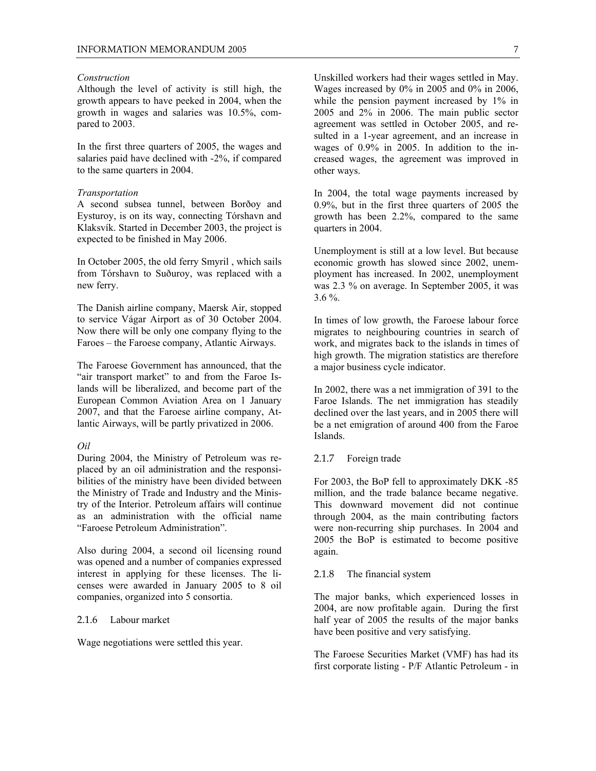#### *Construction*

Although the level of activity is still high, the growth appears to have peeked in 2004, when the growth in wages and salaries was 10.5%, compared to 2003.

In the first three quarters of 2005, the wages and salaries paid have declined with -2%, if compared to the same quarters in 2004.

#### *Transportation*

A second subsea tunnel, between Borðoy and Eysturoy, is on its way, connecting Tórshavn and Klaksvík. Started in December 2003, the project is expected to be finished in May 2006.

In October 2005, the old ferry Smyril , which sails from Tórshavn to Suðuroy, was replaced with a new ferry.

The Danish airline company, Maersk Air, stopped to service Vágar Airport as of 30 October 2004. Now there will be only one company flying to the Faroes – the Faroese company, Atlantic Airways.

The Faroese Government has announced, that the "air transport market" to and from the Faroe Islands will be liberalized, and become part of the European Common Aviation Area on 1 January 2007, and that the Faroese airline company, Atlantic Airways, will be partly privatized in 2006.

#### *Oil*

During 2004, the Ministry of Petroleum was replaced by an oil administration and the responsibilities of the ministry have been divided between the Ministry of Trade and Industry and the Ministry of the Interior. Petroleum affairs will continue as an administration with the official name "Faroese Petroleum Administration".

Also during 2004, a second oil licensing round was opened and a number of companies expressed interest in applying for these licenses. The licenses were awarded in January 2005 to 8 oil companies, organized into 5 consortia.

#### 2.1.6 Labour market

Wage negotiations were settled this year.

Unskilled workers had their wages settled in May. Wages increased by 0% in 2005 and 0% in 2006, while the pension payment increased by 1% in 2005 and 2% in 2006. The main public sector agreement was settled in October 2005, and resulted in a 1-year agreement, and an increase in wages of 0.9% in 2005. In addition to the increased wages, the agreement was improved in other ways.

In 2004, the total wage payments increased by 0.9%, but in the first three quarters of 2005 the growth has been 2.2%, compared to the same quarters in 2004.

Unemployment is still at a low level. But because economic growth has slowed since 2002, unemployment has increased. In 2002, unemployment was 2.3 % on average. In September 2005, it was 3.6 %.

In times of low growth, the Faroese labour force migrates to neighbouring countries in search of work, and migrates back to the islands in times of high growth. The migration statistics are therefore a major business cycle indicator.

In 2002, there was a net immigration of 391 to the Faroe Islands. The net immigration has steadily declined over the last years, and in 2005 there will be a net emigration of around 400 from the Faroe Islands.

#### 2.1.7 Foreign trade

For 2003, the BoP fell to approximately DKK -85 million, and the trade balance became negative. This downward movement did not continue through 2004, as the main contributing factors were non-recurring ship purchases. In 2004 and 2005 the BoP is estimated to become positive again.

#### 2.1.8 The financial system

The major banks, which experienced losses in 2004, are now profitable again. During the first half year of 2005 the results of the major banks have been positive and very satisfying.

The Faroese Securities Market (VMF) has had its first corporate listing - P/F Atlantic Petroleum - in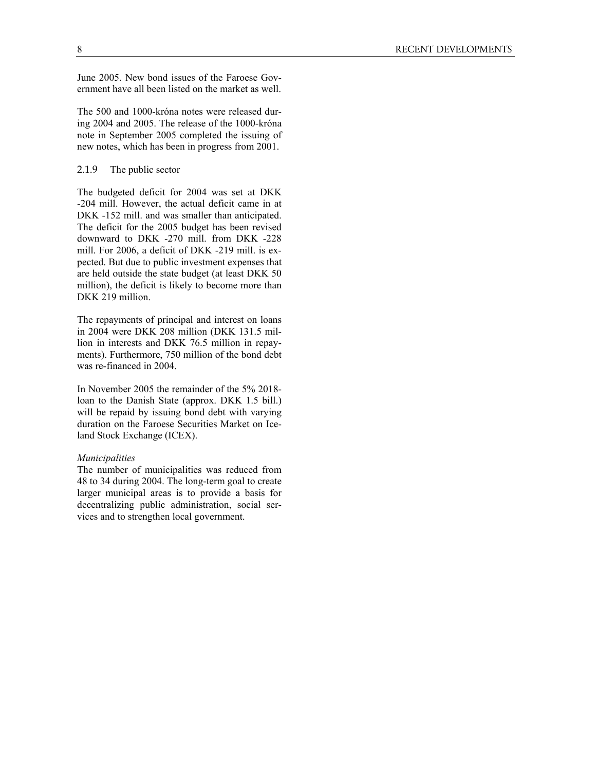June 2005. New bond issues of the Faroese Government have all been listed on the market as well.

The 500 and 1000-króna notes were released during 2004 and 2005. The release of the 1000-króna note in September 2005 completed the issuing of new notes, which has been in progress from 2001.

#### 2.1.9 The public sector

The budgeted deficit for 2004 was set at DKK -204 mill. However, the actual deficit came in at DKK -152 mill. and was smaller than anticipated. The deficit for the 2005 budget has been revised downward to DKK -270 mill. from DKK -228 mill. For 2006, a deficit of DKK -219 mill. is expected. But due to public investment expenses that are held outside the state budget (at least DKK 50 million), the deficit is likely to become more than DKK 219 million.

The repayments of principal and interest on loans in 2004 were DKK 208 million (DKK 131.5 million in interests and DKK 76.5 million in repayments). Furthermore, 750 million of the bond debt was re-financed in 2004.

In November 2005 the remainder of the 5% 2018 loan to the Danish State (approx. DKK 1.5 bill.) will be repaid by issuing bond debt with varying duration on the Faroese Securities Market on Iceland Stock Exchange (ICEX).

#### *Municipalities*

The number of municipalities was reduced from 48 to 34 during 2004. The long-term goal to create larger municipal areas is to provide a basis for decentralizing public administration, social services and to strengthen local government.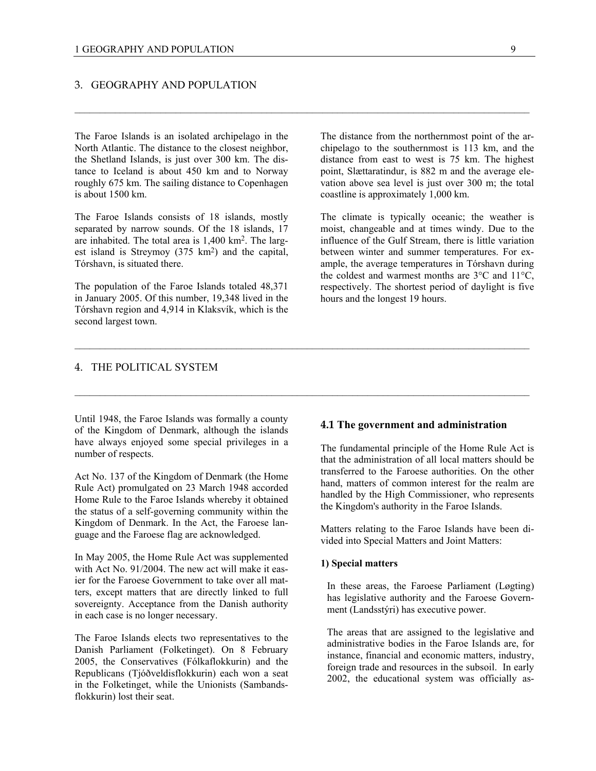#### 3. GEOGRAPHY AND POPULATION

The Faroe Islands is an isolated archipelago in the North Atlantic. The distance to the closest neighbor, the Shetland Islands, is just over 300 km. The distance to Iceland is about 450 km and to Norway roughly 675 km. The sailing distance to Copenhagen is about 1500 km.

The Faroe Islands consists of 18 islands, mostly separated by narrow sounds. Of the 18 islands, 17 are inhabited. The total area is 1,400 km2. The largest island is Streymoy (375 km<sup>2</sup>) and the capital, Tórshavn, is situated there.

The population of the Faroe Islands totaled 48,371 in January 2005. Of this number, 19,348 lived in the Tórshavn region and 4,914 in Klaksvík, which is the second largest town.

The distance from the northernmost point of the archipelago to the southernmost is 113 km, and the distance from east to west is 75 km. The highest point, Slættaratindur, is 882 m and the average elevation above sea level is just over 300 m; the total coastline is approximately 1,000 km.

The climate is typically oceanic; the weather is moist, changeable and at times windy. Due to the influence of the Gulf Stream, there is little variation between winter and summer temperatures. For example, the average temperatures in Tórshavn during the coldest and warmest months are 3°C and 11°C, respectively. The shortest period of daylight is five hours and the longest 19 hours.

#### 4. THE POLITICAL SYSTEM

Until 1948, the Faroe Islands was formally a county of the Kingdom of Denmark, although the islands have always enjoyed some special privileges in a number of respects.

Act No. 137 of the Kingdom of Denmark (the Home Rule Act) promulgated on 23 March 1948 accorded Home Rule to the Faroe Islands whereby it obtained the status of a self-governing community within the Kingdom of Denmark. In the Act, the Faroese language and the Faroese flag are acknowledged.

In May 2005, the Home Rule Act was supplemented with Act No. 91/2004. The new act will make it easier for the Faroese Government to take over all matters, except matters that are directly linked to full sovereignty. Acceptance from the Danish authority in each case is no longer necessary.

The Faroe Islands elects two representatives to the Danish Parliament (Folketinget). On 8 February 2005, the Conservatives (Fólkaflokkurin) and the Republicans (Tjóðveldisflokkurin) each won a seat in the Folketinget, while the Unionists (Sambandsflokkurin) lost their seat.

## **4.1 The government and administration**

The fundamental principle of the Home Rule Act is that the administration of all local matters should be transferred to the Faroese authorities. On the other hand, matters of common interest for the realm are handled by the High Commissioner, who represents the Kingdom's authority in the Faroe Islands.

Matters relating to the Faroe Islands have been divided into Special Matters and Joint Matters:

#### **1) Special matters**

In these areas, the Faroese Parliament (Løgting) has legislative authority and the Faroese Government (Landsstýri) has executive power.

The areas that are assigned to the legislative and administrative bodies in the Faroe Islands are, for instance, financial and economic matters, industry, foreign trade and resources in the subsoil. In early 2002, the educational system was officially as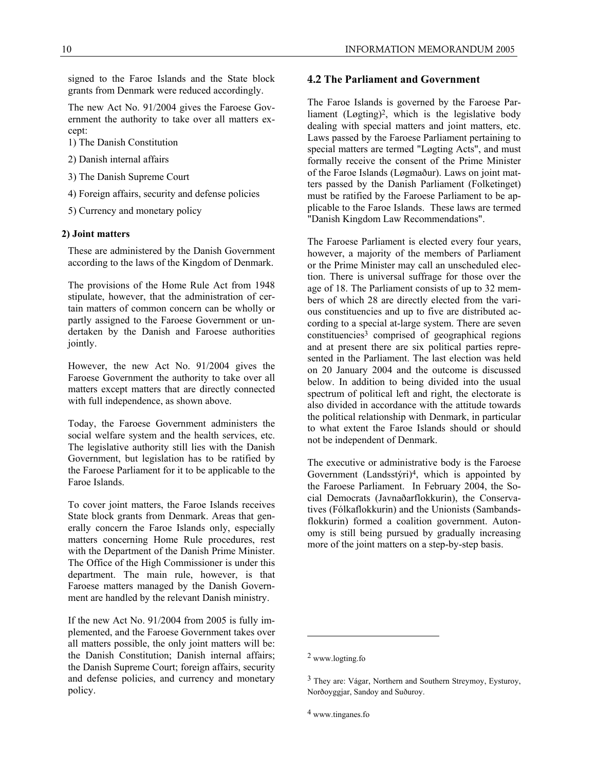signed to the Faroe Islands and the State block grants from Denmark were reduced accordingly.

The new Act No. 91/2004 gives the Faroese Government the authority to take over all matters except:

- 1) The Danish Constitution
- 2) Danish internal affairs
- 3) The Danish Supreme Court
- 4) Foreign affairs, security and defense policies
- 5) Currency and monetary policy

#### **2) Joint matters**

These are administered by the Danish Government according to the laws of the Kingdom of Denmark.

The provisions of the Home Rule Act from 1948 stipulate, however, that the administration of certain matters of common concern can be wholly or partly assigned to the Faroese Government or undertaken by the Danish and Faroese authorities jointly.

However, the new Act No. 91/2004 gives the Faroese Government the authority to take over all matters except matters that are directly connected with full independence, as shown above.

Today, the Faroese Government administers the social welfare system and the health services, etc. The legislative authority still lies with the Danish Government, but legislation has to be ratified by the Faroese Parliament for it to be applicable to the Faroe Islands.

To cover joint matters, the Faroe Islands receives State block grants from Denmark. Areas that generally concern the Faroe Islands only, especially matters concerning Home Rule procedures, rest with the Department of the Danish Prime Minister. The Office of the High Commissioner is under this department. The main rule, however, is that Faroese matters managed by the Danish Government are handled by the relevant Danish ministry.

If the new Act No. 91/2004 from 2005 is fully implemented, and the Faroese Government takes over all matters possible, the only joint matters will be: the Danish Constitution; Danish internal affairs; the Danish Supreme Court; foreign affairs, security and defense policies, and currency and monetary policy.

#### **4.2 The Parliament and Government**

The Faroe Islands is governed by the Faroese Parliament (Løgting)2, which is the legislative body dealing with special matters and joint matters, etc. Laws passed by the Faroese Parliament pertaining to special matters are termed "Løgting Acts", and must formally receive the consent of the Prime Minister of the Faroe Islands (Løgmaður). Laws on joint matters passed by the Danish Parliament (Folketinget) must be ratified by the Faroese Parliament to be applicable to the Faroe Islands. These laws are termed "Danish Kingdom Law Recommendations".

The Faroese Parliament is elected every four years, however, a majority of the members of Parliament or the Prime Minister may call an unscheduled election. There is universal suffrage for those over the age of 18. The Parliament consists of up to 32 members of which 28 are directly elected from the various constituencies and up to five are distributed according to a special at-large system. There are seven constituencies<sup>3</sup> comprised of geographical regions and at present there are six political parties represented in the Parliament. The last election was held on 20 January 2004 and the outcome is discussed below. In addition to being divided into the usual spectrum of political left and right, the electorate is also divided in accordance with the attitude towards the political relationship with Denmark, in particular to what extent the Faroe Islands should or should not be independent of Denmark.

The executive or administrative body is the Faroese Government (Landsstýri)4, which is appointed by the Faroese Parliament. In February 2004, the Social Democrats (Javnaðarflokkurin), the Conservatives (Fólkaflokkurin) and the Unionists (Sambandsflokkurin) formed a coalition government. Autonomy is still being pursued by gradually increasing more of the joint matters on a step-by-step basis.

l

<sup>2</sup> www.logting.fo

<sup>3</sup> They are: Vágar, Northern and Southern Streymoy, Eysturoy, Norðoyggjar, Sandoy and Suðuroy.

<sup>4</sup> www.tinganes.fo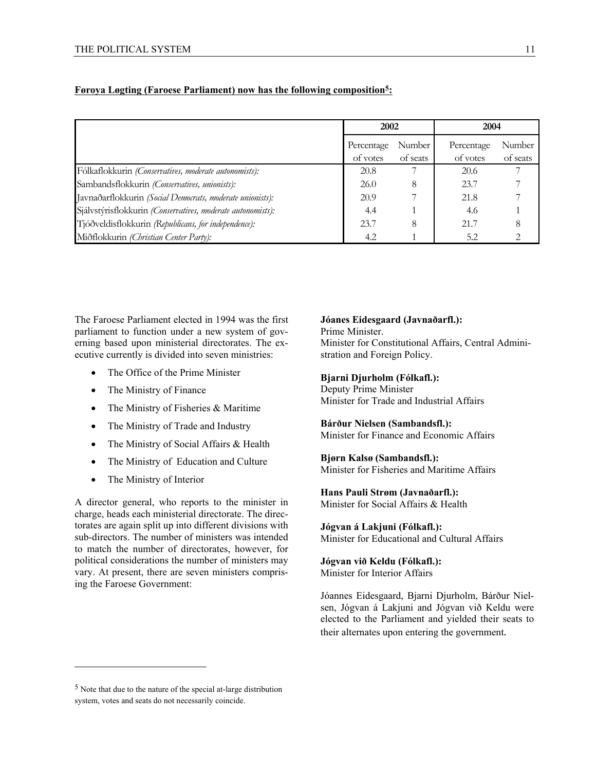|                                                             | 2002       |          | 2004       |          |
|-------------------------------------------------------------|------------|----------|------------|----------|
|                                                             | Percentage | Number   | Percentage | Number   |
|                                                             | of votes   | of seats | of votes   | of seats |
| Fólkaflokkurin (Conservatives, moderate autonomists):       | 20.8       |          | 20.6       | 7        |
| Sambandsflokkurin (Conservatives, unionists):               | 26.0       | 8        | 23.7       |          |
| Javnaðarflokkurin (Social Democrats, moderate unionists):   | 20.9       |          | 21.8       |          |
| Sjálvstýrisflokkurin (Conservatives, moderate autonomists): | 4.4        |          | 4.6        |          |
| Tjóðveldisflokkurin (Republicans, for independence):        | 23.7       | 8        | 21.7       |          |
| Miðflokkurin (Christian Center Party):                      | 4.2        |          | 5.2        |          |

## **Føroya Løgting (Faroese Parliament) now has the following composition5:**

The Faroese Parliament elected in 1994 was the first parliament to function under a new system of governing based upon ministerial directorates. The executive currently is divided into seven ministries:

- The Office of the Prime Minister
- The Ministry of Finance
- The Ministry of Fisheries & Maritime
- The Ministry of Trade and Industry
- The Ministry of Social Affairs & Health
- The Ministry of Education and Culture
- The Ministry of Interior

A director general, who reports to the minister in charge, heads each ministerial directorate. The directorates are again split up into different divisions with sub-directors. The number of ministers was intended to match the number of directorates, however, for political considerations the number of ministers may vary. At present, there are seven ministers comprising the Faroese Government:

## **Jóanes Eidesgaard (Javnaðarfl.):**

Prime Minister. Minister for Constitutional Affairs, Central Administration and Foreign Policy.

## **Bjarni Djurholm (Fólkafl.):**

Deputy Prime Minister Minister for Trade and Industrial Affairs

## **Bárður Nielsen (Sambandsfl.):**

Minister for Finance and Economic Affairs

## **Bjørn Kalsø (Sambandsfl.):**

Minister for Fisheries and Maritime Affairs

## **Hans Pauli Strøm (Javnaðarfl.):**

Minister for Social Affairs & Health

## **Jógvan á Lakjuni (Fólkafl.):**

Minister for Educational and Cultural Affairs

## **Jógvan við Keldu (Fólkafl.):**

Minister for Interior Affairs

Jóannes Eidesgaard, Bjarni Djurholm, Bárður Nielsen, Jógvan á Lakjuni and Jógvan við Keldu were elected to the Parliament and yielded their seats to their alternates upon entering the government.

l

<sup>5</sup> Note that due to the nature of the special at-large distribution system, votes and seats do not necessarily coincide.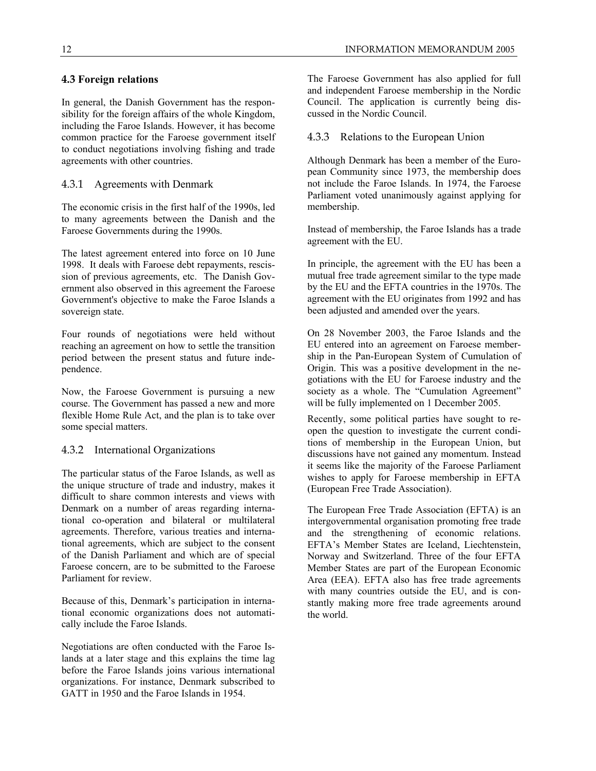## **4.3 Foreign relations**

In general, the Danish Government has the responsibility for the foreign affairs of the whole Kingdom, including the Faroe Islands. However, it has become common practice for the Faroese government itself to conduct negotiations involving fishing and trade agreements with other countries.

## 4.3.1 Agreements with Denmark

The economic crisis in the first half of the 1990s, led to many agreements between the Danish and the Faroese Governments during the 1990s.

The latest agreement entered into force on 10 June 1998. It deals with Faroese debt repayments, rescission of previous agreements, etc. The Danish Government also observed in this agreement the Faroese Government's objective to make the Faroe Islands a sovereign state.

Four rounds of negotiations were held without reaching an agreement on how to settle the transition period between the present status and future independence.

Now, the Faroese Government is pursuing a new course. The Government has passed a new and more flexible Home Rule Act, and the plan is to take over some special matters.

## 4.3.2 International Organizations

The particular status of the Faroe Islands, as well as the unique structure of trade and industry, makes it difficult to share common interests and views with Denmark on a number of areas regarding international co-operation and bilateral or multilateral agreements. Therefore, various treaties and international agreements, which are subject to the consent of the Danish Parliament and which are of special Faroese concern, are to be submitted to the Faroese Parliament for review.

Because of this, Denmark's participation in international economic organizations does not automatically include the Faroe Islands.

Negotiations are often conducted with the Faroe Islands at a later stage and this explains the time lag before the Faroe Islands joins various international organizations. For instance, Denmark subscribed to GATT in 1950 and the Faroe Islands in 1954.

The Faroese Government has also applied for full and independent Faroese membership in the Nordic Council. The application is currently being discussed in the Nordic Council.

## 4.3.3 Relations to the European Union

Although Denmark has been a member of the European Community since 1973, the membership does not include the Faroe Islands. In 1974, the Faroese Parliament voted unanimously against applying for membership.

Instead of membership, the Faroe Islands has a trade agreement with the EU.

In principle, the agreement with the EU has been a mutual free trade agreement similar to the type made by the EU and the EFTA countries in the 1970s. The agreement with the EU originates from 1992 and has been adjusted and amended over the years.

On 28 November 2003, the Faroe Islands and the EU entered into an agreement on Faroese membership in the Pan-European System of Cumulation of Origin. This was a positive development in the negotiations with the EU for Faroese industry and the society as a whole. The "Cumulation Agreement" will be fully implemented on 1 December 2005.

Recently, some political parties have sought to reopen the question to investigate the current conditions of membership in the European Union, but discussions have not gained any momentum. Instead it seems like the majority of the Faroese Parliament wishes to apply for Faroese membership in EFTA (European Free Trade Association).

The European Free Trade Association (EFTA) is an intergovernmental organisation promoting free trade and the strengthening of economic relations. EFTA's Member States are Iceland, Liechtenstein, Norway and Switzerland. Three of the four EFTA Member States are part of the European Economic Area (EEA). EFTA also has free trade agreements with many countries outside the EU, and is constantly making more free trade agreements around the world.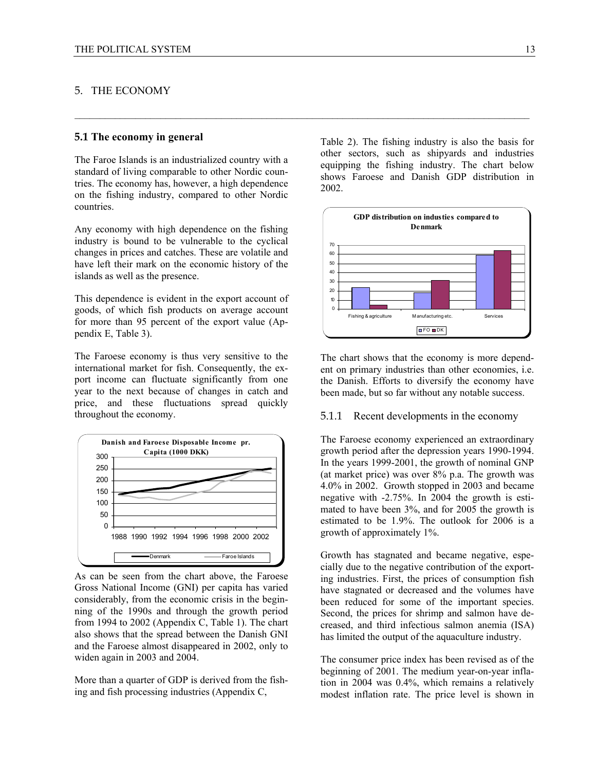## 5. THE ECONOMY

#### **5.1 The economy in general**

The Faroe Islands is an industrialized country with a standard of living comparable to other Nordic countries. The economy has, however, a high dependence on the fishing industry, compared to other Nordic countries.

 $\_$  , and the set of the set of the set of the set of the set of the set of the set of the set of the set of the set of the set of the set of the set of the set of the set of the set of the set of the set of the set of th

Any economy with high dependence on the fishing industry is bound to be vulnerable to the cyclical changes in prices and catches. These are volatile and have left their mark on the economic history of the islands as well as the presence.

This dependence is evident in the export account of goods, of which fish products on average account for more than 95 percent of the export value (Appendix E, Table 3).

The Faroese economy is thus very sensitive to the international market for fish. Consequently, the export income can fluctuate significantly from one year to the next because of changes in catch and price, and these fluctuations spread quickly throughout the economy.



As can be seen from the chart above, the Faroese Gross National Income (GNI) per capita has varied considerably, from the economic crisis in the beginning of the 1990s and through the growth period from 1994 to 2002 (Appendix C, Table 1). The chart also shows that the spread between the Danish GNI and the Faroese almost disappeared in 2002, only to widen again in 2003 and 2004.

More than a quarter of GDP is derived from the fishing and fish processing industries (Appendix C,

Table 2). The fishing industry is also the basis for other sectors, such as shipyards and industries equipping the fishing industry. The chart below shows Faroese and Danish GDP distribution in 2002.



The chart shows that the economy is more dependent on primary industries than other economies, i.e. the Danish. Efforts to diversify the economy have been made, but so far without any notable success.

#### 5.1.1 Recent developments in the economy

The Faroese economy experienced an extraordinary growth period after the depression years 1990-1994. In the years 1999-2001, the growth of nominal GNP (at market price) was over 8% p.a. The growth was 4.0% in 2002. Growth stopped in 2003 and became negative with -2.75%. In 2004 the growth is estimated to have been 3%, and for 2005 the growth is estimated to be 1.9%. The outlook for 2006 is a growth of approximately 1%.

Growth has stagnated and became negative, especially due to the negative contribution of the exporting industries. First, the prices of consumption fish have stagnated or decreased and the volumes have been reduced for some of the important species. Second, the prices for shrimp and salmon have decreased, and third infectious salmon anemia (ISA) has limited the output of the aquaculture industry.

The consumer price index has been revised as of the beginning of 2001. The medium year-on-year inflation in 2004 was 0.4%, which remains a relatively modest inflation rate. The price level is shown in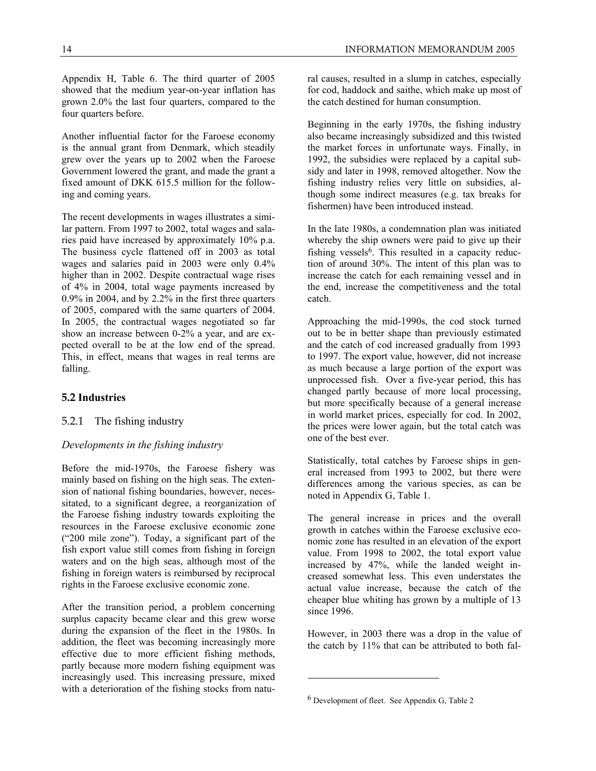Appendix H, Table 6. The third quarter of 2005 showed that the medium year-on-year inflation has grown 2.0% the last four quarters, compared to the four quarters before.

Another influential factor for the Faroese economy is the annual grant from Denmark, which steadily grew over the years up to 2002 when the Faroese Government lowered the grant, and made the grant a fixed amount of DKK 615.5 million for the following and coming years.

The recent developments in wages illustrates a similar pattern. From 1997 to 2002, total wages and salaries paid have increased by approximately 10% p.a. The business cycle flattened off in 2003 as total wages and salaries paid in 2003 were only 0.4% higher than in 2002. Despite contractual wage rises of 4% in 2004, total wage payments increased by 0.9% in 2004, and by 2.2% in the first three quarters of 2005, compared with the same quarters of 2004. In 2005, the contractual wages negotiated so far show an increase between 0-2% a year, and are expected overall to be at the low end of the spread. This, in effect, means that wages in real terms are falling.

## **5.2 Industries**

## 5.2.1 The fishing industry

## *Developments in the fishing industry*

Before the mid-1970s, the Faroese fishery was mainly based on fishing on the high seas. The extension of national fishing boundaries, however, necessitated, to a significant degree, a reorganization of the Faroese fishing industry towards exploiting the resources in the Faroese exclusive economic zone ("200 mile zone"). Today, a significant part of the fish export value still comes from fishing in foreign waters and on the high seas, although most of the fishing in foreign waters is reimbursed by reciprocal rights in the Faroese exclusive economic zone.

After the transition period, a problem concerning surplus capacity became clear and this grew worse during the expansion of the fleet in the 1980s. In addition, the fleet was becoming increasingly more effective due to more efficient fishing methods, partly because more modern fishing equipment was increasingly used. This increasing pressure, mixed with a deterioration of the fishing stocks from natural causes, resulted in a slump in catches, especially for cod, haddock and saithe, which make up most of the catch destined for human consumption.

Beginning in the early 1970s, the fishing industry also became increasingly subsidized and this twisted the market forces in unfortunate ways. Finally, in 1992, the subsidies were replaced by a capital subsidy and later in 1998, removed altogether. Now the fishing industry relies very little on subsidies, although some indirect measures (e.g. tax breaks for fishermen) have been introduced instead.

In the late 1980s, a condemnation plan was initiated whereby the ship owners were paid to give up their fishing vessels<sup>6</sup>. This resulted in a capacity reduction of around 30%. The intent of this plan was to increase the catch for each remaining vessel and in the end, increase the competitiveness and the total catch.

Approaching the mid-1990s, the cod stock turned out to be in better shape than previously estimated and the catch of cod increased gradually from 1993 to 1997. The export value, however, did not increase as much because a large portion of the export was unprocessed fish. Over a five-year period, this has changed partly because of more local processing, but more specifically because of a general increase in world market prices, especially for cod. In 2002, the prices were lower again, but the total catch was one of the best ever.

Statistically, total catches by Faroese ships in general increased from 1993 to 2002, but there were differences among the various species, as can be noted in Appendix G, Table 1.

The general increase in prices and the overall growth in catches within the Faroese exclusive economic zone has resulted in an elevation of the export value. From 1998 to 2002, the total export value increased by 47%, while the landed weight increased somewhat less. This even understates the actual value increase, because the catch of the cheaper blue whiting has grown by a multiple of 13 since 1996.

However, in 2003 there was a drop in the value of the catch by 11% that can be attributed to both fal-

-

<sup>6</sup> Development of fleet. See Appendix G, Table 2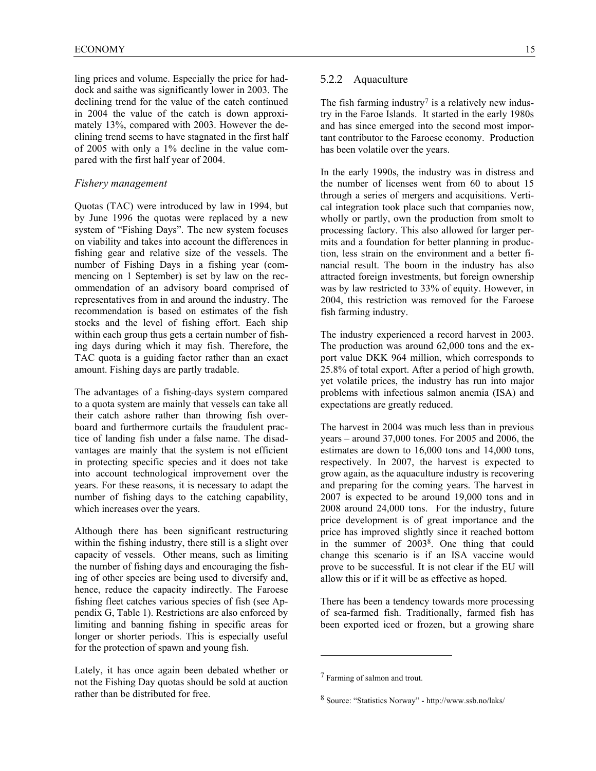ling prices and volume. Especially the price for haddock and saithe was significantly lower in 2003. The declining trend for the value of the catch continued in 2004 the value of the catch is down approximately 13%, compared with 2003. However the declining trend seems to have stagnated in the first half of 2005 with only a 1% decline in the value compared with the first half year of 2004.

#### *Fishery management*

Quotas (TAC) were introduced by law in 1994, but by June 1996 the quotas were replaced by a new system of "Fishing Days". The new system focuses on viability and takes into account the differences in fishing gear and relative size of the vessels. The number of Fishing Days in a fishing year (commencing on 1 September) is set by law on the recommendation of an advisory board comprised of representatives from in and around the industry. The recommendation is based on estimates of the fish stocks and the level of fishing effort. Each ship within each group thus gets a certain number of fishing days during which it may fish. Therefore, the TAC quota is a guiding factor rather than an exact amount. Fishing days are partly tradable.

The advantages of a fishing-days system compared to a quota system are mainly that vessels can take all their catch ashore rather than throwing fish overboard and furthermore curtails the fraudulent practice of landing fish under a false name. The disadvantages are mainly that the system is not efficient in protecting specific species and it does not take into account technological improvement over the years. For these reasons, it is necessary to adapt the number of fishing days to the catching capability, which increases over the years.

Although there has been significant restructuring within the fishing industry, there still is a slight over capacity of vessels. Other means, such as limiting the number of fishing days and encouraging the fishing of other species are being used to diversify and, hence, reduce the capacity indirectly. The Faroese fishing fleet catches various species of fish (see Appendix G, Table 1). Restrictions are also enforced by limiting and banning fishing in specific areas for longer or shorter periods. This is especially useful for the protection of spawn and young fish.

Lately, it has once again been debated whether or not the Fishing Day quotas should be sold at auction rather than be distributed for free.

## 5.2.2 Aquaculture

The fish farming industry<sup>7</sup> is a relatively new industry in the Faroe Islands. It started in the early 1980s and has since emerged into the second most important contributor to the Faroese economy. Production has been volatile over the years.

In the early 1990s, the industry was in distress and the number of licenses went from 60 to about 15 through a series of mergers and acquisitions. Vertical integration took place such that companies now, wholly or partly, own the production from smolt to processing factory. This also allowed for larger permits and a foundation for better planning in production, less strain on the environment and a better financial result. The boom in the industry has also attracted foreign investments, but foreign ownership was by law restricted to 33% of equity. However, in 2004, this restriction was removed for the Faroese fish farming industry.

The industry experienced a record harvest in 2003. The production was around 62,000 tons and the export value DKK 964 million, which corresponds to 25.8% of total export. After a period of high growth, yet volatile prices, the industry has run into major problems with infectious salmon anemia (ISA) and expectations are greatly reduced.

The harvest in 2004 was much less than in previous years – around 37,000 tones. For 2005 and 2006, the estimates are down to 16,000 tons and 14,000 tons, respectively. In 2007, the harvest is expected to grow again, as the aquaculture industry is recovering and preparing for the coming years. The harvest in 2007 is expected to be around 19,000 tons and in 2008 around 24,000 tons. For the industry, future price development is of great importance and the price has improved slightly since it reached bottom in the summer of 20038. One thing that could change this scenario is if an ISA vaccine would prove to be successful. It is not clear if the EU will allow this or if it will be as effective as hoped.

There has been a tendency towards more processing of sea-farmed fish. Traditionally, farmed fish has been exported iced or frozen, but a growing share

<sup>7</sup> Farming of salmon and trout.

<sup>8</sup> Source: "Statistics Norway" - http://www.ssb.no/laks/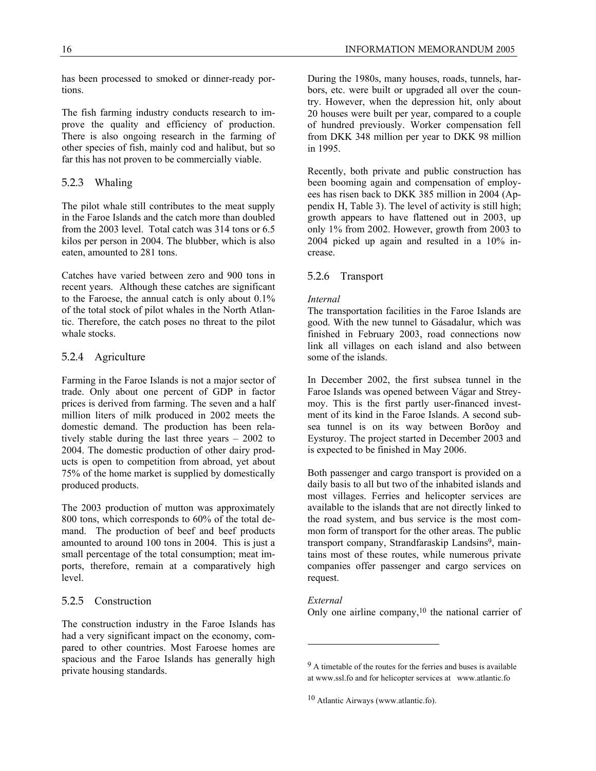has been processed to smoked or dinner-ready portions.

The fish farming industry conducts research to improve the quality and efficiency of production. There is also ongoing research in the farming of other species of fish, mainly cod and halibut, but so far this has not proven to be commercially viable.

## 5.2.3 Whaling

The pilot whale still contributes to the meat supply in the Faroe Islands and the catch more than doubled from the 2003 level. Total catch was 314 tons or 6.5 kilos per person in 2004. The blubber, which is also eaten, amounted to 281 tons.

Catches have varied between zero and 900 tons in recent years. Although these catches are significant to the Faroese, the annual catch is only about 0.1% of the total stock of pilot whales in the North Atlantic. Therefore, the catch poses no threat to the pilot whale stocks.

## 5.2.4 Agriculture

Farming in the Faroe Islands is not a major sector of trade. Only about one percent of GDP in factor prices is derived from farming. The seven and a half million liters of milk produced in 2002 meets the domestic demand. The production has been relatively stable during the last three years – 2002 to 2004. The domestic production of other dairy products is open to competition from abroad, yet about 75% of the home market is supplied by domestically produced products.

The 2003 production of mutton was approximately 800 tons, which corresponds to 60% of the total demand. The production of beef and beef products amounted to around 100 tons in 2004. This is just a small percentage of the total consumption; meat imports, therefore, remain at a comparatively high level.

## 5.2.5 Construction

The construction industry in the Faroe Islands has had a very significant impact on the economy, compared to other countries. Most Faroese homes are spacious and the Faroe Islands has generally high private housing standards.

During the 1980s, many houses, roads, tunnels, harbors, etc. were built or upgraded all over the country. However, when the depression hit, only about 20 houses were built per year, compared to a couple of hundred previously. Worker compensation fell from DKK 348 million per year to DKK 98 million in 1995.

Recently, both private and public construction has been booming again and compensation of employees has risen back to DKK 385 million in 2004 (Appendix H, Table 3). The level of activity is still high; growth appears to have flattened out in 2003, up only 1% from 2002. However, growth from 2003 to 2004 picked up again and resulted in a 10% increase.

## 5.2.6 Transport

#### *Internal*

The transportation facilities in the Faroe Islands are good. With the new tunnel to Gásadalur, which was finished in February 2003, road connections now link all villages on each island and also between some of the islands.

In December 2002, the first subsea tunnel in the Faroe Islands was opened between Vágar and Streymoy. This is the first partly user-financed investment of its kind in the Faroe Islands. A second subsea tunnel is on its way between Borðoy and Eysturoy. The project started in December 2003 and is expected to be finished in May 2006.

Both passenger and cargo transport is provided on a daily basis to all but two of the inhabited islands and most villages. Ferries and helicopter services are available to the islands that are not directly linked to the road system, and bus service is the most common form of transport for the other areas. The public transport company, Strandfaraskip Landsins<sup>9</sup>, maintains most of these routes, while numerous private companies offer passenger and cargo services on request.

## *External*

-

Only one airline company, $10$  the national carrier of

<sup>9</sup> A timetable of the routes for the ferries and buses is available at www.ssl.fo and for helicopter services at www.atlantic.fo

<sup>10</sup> Atlantic Airways (www.atlantic.fo).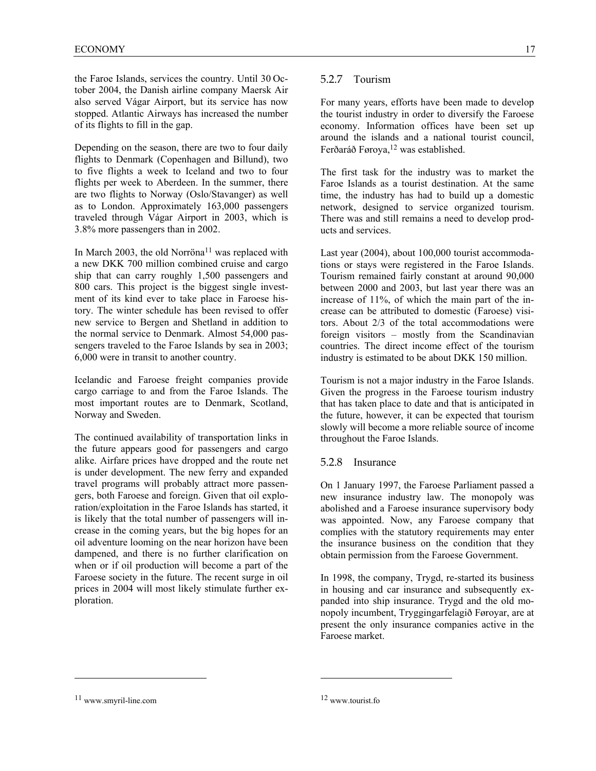the Faroe Islands, services the country. Until 30 October 2004, the Danish airline company Maersk Air also served Vágar Airport, but its service has now stopped. Atlantic Airways has increased the number of its flights to fill in the gap.

Depending on the season, there are two to four daily flights to Denmark (Copenhagen and Billund), two to five flights a week to Iceland and two to four flights per week to Aberdeen. In the summer, there are two flights to Norway (Oslo/Stavanger) as well as to London. Approximately 163,000 passengers traveled through Vágar Airport in 2003, which is 3.8% more passengers than in 2002.

In March 2003, the old Norröna<sup>11</sup> was replaced with a new DKK 700 million combined cruise and cargo ship that can carry roughly 1,500 passengers and 800 cars. This project is the biggest single investment of its kind ever to take place in Faroese history. The winter schedule has been revised to offer new service to Bergen and Shetland in addition to the normal service to Denmark. Almost 54,000 passengers traveled to the Faroe Islands by sea in 2003; 6,000 were in transit to another country.

Icelandic and Faroese freight companies provide cargo carriage to and from the Faroe Islands. The most important routes are to Denmark, Scotland, Norway and Sweden.

The continued availability of transportation links in the future appears good for passengers and cargo alike. Airfare prices have dropped and the route net is under development. The new ferry and expanded travel programs will probably attract more passengers, both Faroese and foreign. Given that oil exploration/exploitation in the Faroe Islands has started, it is likely that the total number of passengers will increase in the coming years, but the big hopes for an oil adventure looming on the near horizon have been dampened, and there is no further clarification on when or if oil production will become a part of the Faroese society in the future. The recent surge in oil prices in 2004 will most likely stimulate further exploration.

## 5.2.7 Tourism

For many years, efforts have been made to develop the tourist industry in order to diversify the Faroese economy. Information offices have been set up around the islands and a national tourist council, Ferðaráð Føroya,<sup>12</sup> was established.

The first task for the industry was to market the Faroe Islands as a tourist destination. At the same time, the industry has had to build up a domestic network, designed to service organized tourism. There was and still remains a need to develop products and services.

Last year (2004), about 100,000 tourist accommodations or stays were registered in the Faroe Islands. Tourism remained fairly constant at around 90,000 between 2000 and 2003, but last year there was an increase of 11%, of which the main part of the increase can be attributed to domestic (Faroese) visitors. About 2/3 of the total accommodations were foreign visitors – mostly from the Scandinavian countries. The direct income effect of the tourism industry is estimated to be about DKK 150 million.

Tourism is not a major industry in the Faroe Islands. Given the progress in the Faroese tourism industry that has taken place to date and that is anticipated in the future, however, it can be expected that tourism slowly will become a more reliable source of income throughout the Faroe Islands.

## 5.2.8 Insurance

On 1 January 1997, the Faroese Parliament passed a new insurance industry law. The monopoly was abolished and a Faroese insurance supervisory body was appointed. Now, any Faroese company that complies with the statutory requirements may enter the insurance business on the condition that they obtain permission from the Faroese Government.

In 1998, the company, Trygd, re-started its business in housing and car insurance and subsequently expanded into ship insurance. Trygd and the old monopoly incumbent, Tryggingarfelagið Føroyar, are at present the only insurance companies active in the Faroese market.

 $\overline{a}$ 

<sup>11</sup> www.smyril-line.com

<sup>12</sup> www.tourist.fo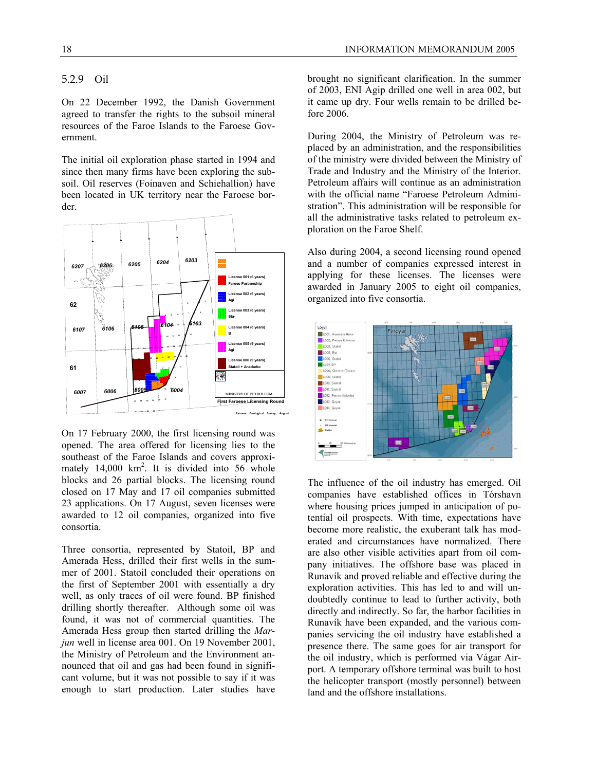## 5.2.9 Oil

On 22 December 1992, the Danish Government agreed to transfer the rights to the subsoil mineral resources of the Faroe Islands to the Faroese Government.

The initial oil exploration phase started in 1994 and since then many firms have been exploring the subsoil. Oil reserves (Foinaven and Schiehallion) have been located in UK territory near the Faroese border.



On 17 February 2000, the first licensing round was opened. The area offered for licensing lies to the southeast of the Faroe Islands and covers approximately 14,000 km<sup>2</sup>. It is divided into 56 whole blocks and 26 partial blocks. The licensing round closed on 17 May and 17 oil companies submitted 23 applications. On 17 August, seven licenses were awarded to 12 oil companies, organized into five consortia.

Three consortia, represented by Statoil, BP and Amerada Hess, drilled their first wells in the summer of 2001. Statoil concluded their operations on the first of September 2001 with essentially a dry well, as only traces of oil were found. BP finished drilling shortly thereafter. Although some oil was found, it was not of commercial quantities. The Amerada Hess group then started drilling the *Marjun* well in license area 001. On 19 November 2001, the Ministry of Petroleum and the Environment announced that oil and gas had been found in significant volume, but it was not possible to say if it was enough to start production. Later studies have brought no significant clarification. In the summer of 2003, ENI Agip drilled one well in area 002, but it came up dry. Four wells remain to be drilled before 2006.

During 2004, the Ministry of Petroleum was replaced by an administration, and the responsibilities of the ministry were divided between the Ministry of Trade and Industry and the Ministry of the Interior. Petroleum affairs will continue as an administration with the official name "Faroese Petroleum Administration". This administration will be responsible for all the administrative tasks related to petroleum exploration on the Faroe Shelf.

Also during 2004, a second licensing round opened and a number of companies expressed interest in applying for these licenses. The licenses were awarded in January 2005 to eight oil companies, organized into five consortia.



The influence of the oil industry has emerged. Oil companies have established offices in Tórshavn where housing prices jumped in anticipation of potential oil prospects. With time, expectations have become more realistic, the exuberant talk has moderated and circumstances have normalized. There are also other visible activities apart from oil company initiatives. The offshore base was placed in Runavík and proved reliable and effective during the exploration activities. This has led to and will undoubtedly continue to lead to further activity, both directly and indirectly. So far, the harbor facilities in Runavík have been expanded, and the various companies servicing the oil industry have established a presence there. The same goes for air transport for the oil industry, which is performed via Vágar Airport. A temporary offshore terminal was built to host the helicopter transport (mostly personnel) between land and the offshore installations.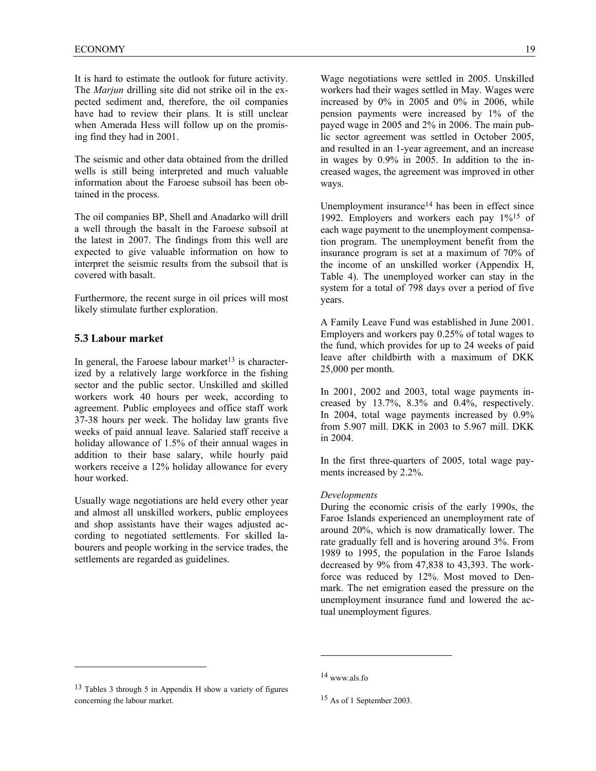It is hard to estimate the outlook for future activity. The *Marjun* drilling site did not strike oil in the expected sediment and, therefore, the oil companies have had to review their plans. It is still unclear when Amerada Hess will follow up on the promising find they had in 2001.

The seismic and other data obtained from the drilled wells is still being interpreted and much valuable information about the Faroese subsoil has been obtained in the process.

The oil companies BP, Shell and Anadarko will drill a well through the basalt in the Faroese subsoil at the latest in 2007. The findings from this well are expected to give valuable information on how to interpret the seismic results from the subsoil that is covered with basalt.

Furthermore, the recent surge in oil prices will most likely stimulate further exploration.

#### **5.3 Labour market**

l

In general, the Faroese labour market<sup>13</sup> is characterized by a relatively large workforce in the fishing sector and the public sector. Unskilled and skilled workers work 40 hours per week, according to agreement. Public employees and office staff work 37-38 hours per week. The holiday law grants five weeks of paid annual leave. Salaried staff receive a holiday allowance of 1.5% of their annual wages in addition to their base salary, while hourly paid workers receive a 12% holiday allowance for every hour worked.

Usually wage negotiations are held every other year and almost all unskilled workers, public employees and shop assistants have their wages adjusted according to negotiated settlements. For skilled labourers and people working in the service trades, the settlements are regarded as guidelines.

Wage negotiations were settled in 2005. Unskilled workers had their wages settled in May. Wages were increased by 0% in 2005 and 0% in 2006, while pension payments were increased by 1% of the payed wage in 2005 and 2% in 2006. The main public sector agreement was settled in October 2005, and resulted in an 1-year agreement, and an increase in wages by 0.9% in 2005. In addition to the increased wages, the agreement was improved in other ways.

Unemployment insurance<sup>14</sup> has been in effect since 1992. Employers and workers each pay 1%15 of each wage payment to the unemployment compensation program. The unemployment benefit from the insurance program is set at a maximum of 70% of the income of an unskilled worker (Appendix H, Table 4). The unemployed worker can stay in the system for a total of 798 days over a period of five years.

A Family Leave Fund was established in June 2001. Employers and workers pay 0.25% of total wages to the fund, which provides for up to 24 weeks of paid leave after childbirth with a maximum of DKK 25,000 per month.

In 2001, 2002 and 2003, total wage payments increased by 13.7%, 8.3% and 0.4%, respectively. In 2004, total wage payments increased by 0.9% from 5.907 mill. DKK in 2003 to 5.967 mill. DKK in 2004.

In the first three-quarters of 2005, total wage payments increased by 2.2%.

#### *Developments*

During the economic crisis of the early 1990s, the Faroe Islands experienced an unemployment rate of around 20%, which is now dramatically lower. The rate gradually fell and is hovering around 3%. From 1989 to 1995, the population in the Faroe Islands decreased by 9% from 47,838 to 43,393. The workforce was reduced by 12%. Most moved to Denmark. The net emigration eased the pressure on the unemployment insurance fund and lowered the actual unemployment figures.

<sup>13</sup> Tables 3 through 5 in Appendix H show a variety of figures concerning the labour market.

<sup>14</sup> www.als.fo

<sup>15</sup> As of 1 September 2003.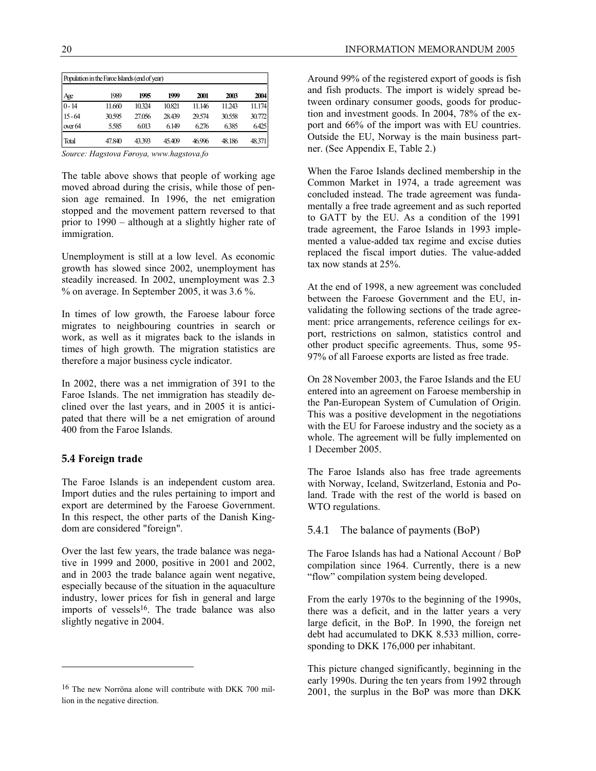| Population in the Farce Islands (end of year) |        |        |        |        |        |        |
|-----------------------------------------------|--------|--------|--------|--------|--------|--------|
| Age                                           | 1989   | 1995   | 1999   | 2001   | 2003   | 2004   |
| $0 - 14$                                      | 11.660 | 10.324 | 10.821 | 11.146 | 11.243 | 11.174 |
| $15 - 64$                                     | 30.595 | 27.056 | 28.439 | 29.574 | 30.558 | 30.772 |
| over 64                                       | 5.585  | 6.013  | 6.149  | 6.276  | 6.385  | 6.425  |
| Total                                         | 47.840 | 43.393 | 45.409 | 46.996 | 48.186 | 48.371 |

*Source: Hagstova Føroya, www.hagstova.fo* 

The table above shows that people of working age moved abroad during the crisis, while those of pension age remained. In 1996, the net emigration stopped and the movement pattern reversed to that prior to 1990 – although at a slightly higher rate of immigration.

Unemployment is still at a low level. As economic growth has slowed since 2002, unemployment has steadily increased. In 2002, unemployment was 2.3 % on average. In September 2005, it was 3.6 %.

In times of low growth, the Faroese labour force migrates to neighbouring countries in search or work, as well as it migrates back to the islands in times of high growth. The migration statistics are therefore a major business cycle indicator.

In 2002, there was a net immigration of 391 to the Faroe Islands. The net immigration has steadily declined over the last years, and in 2005 it is anticipated that there will be a net emigration of around 400 from the Faroe Islands.

## **5.4 Foreign trade**

-

The Faroe Islands is an independent custom area. Import duties and the rules pertaining to import and export are determined by the Faroese Government. In this respect, the other parts of the Danish Kingdom are considered "foreign".

Over the last few years, the trade balance was negative in 1999 and 2000, positive in 2001 and 2002, and in 2003 the trade balance again went negative, especially because of the situation in the aquaculture industry, lower prices for fish in general and large imports of vessels<sup>16</sup>. The trade balance was also slightly negative in 2004.

Around 99% of the registered export of goods is fish and fish products. The import is widely spread between ordinary consumer goods, goods for production and investment goods. In 2004, 78% of the export and 66% of the import was with EU countries. Outside the EU, Norway is the main business partner. (See Appendix E, Table 2.)

When the Faroe Islands declined membership in the Common Market in 1974, a trade agreement was concluded instead. The trade agreement was fundamentally a free trade agreement and as such reported to GATT by the EU. As a condition of the 1991 trade agreement, the Faroe Islands in 1993 implemented a value-added tax regime and excise duties replaced the fiscal import duties. The value-added tax now stands at 25%.

At the end of 1998, a new agreement was concluded between the Faroese Government and the EU, invalidating the following sections of the trade agreement: price arrangements, reference ceilings for export, restrictions on salmon, statistics control and other product specific agreements. Thus, some 95- 97% of all Faroese exports are listed as free trade.

On 28 November 2003, the Faroe Islands and the EU entered into an agreement on Faroese membership in the Pan-European System of Cumulation of Origin. This was a positive development in the negotiations with the EU for Faroese industry and the society as a whole. The agreement will be fully implemented on 1 December 2005.

The Faroe Islands also has free trade agreements with Norway, Iceland, Switzerland, Estonia and Poland. Trade with the rest of the world is based on WTO regulations.

## 5.4.1 The balance of payments (BoP)

The Faroe Islands has had a National Account / BoP compilation since 1964. Currently, there is a new "flow" compilation system being developed.

From the early 1970s to the beginning of the 1990s, there was a deficit, and in the latter years a very large deficit, in the BoP. In 1990, the foreign net debt had accumulated to DKK 8.533 million, corresponding to DKK 176,000 per inhabitant.

This picture changed significantly, beginning in the early 1990s. During the ten years from 1992 through 2001, the surplus in the BoP was more than DKK

<sup>16</sup> The new Norröna alone will contribute with DKK 700 million in the negative direction.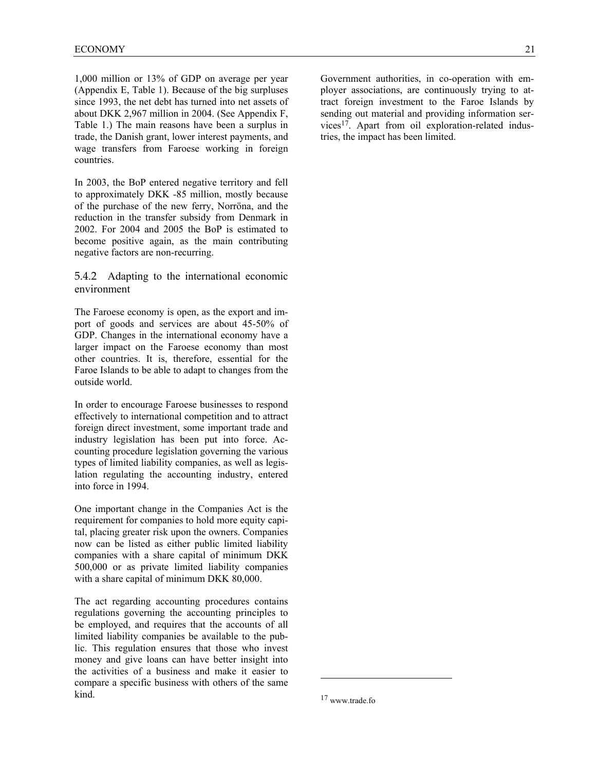1,000 million or 13% of GDP on average per year (Appendix E, Table 1). Because of the big surpluses since 1993, the net debt has turned into net assets of about DKK 2,967 million in 2004. (See Appendix F, Table 1.) The main reasons have been a surplus in trade, the Danish grant, lower interest payments, and wage transfers from Faroese working in foreign countries.

In 2003, the BoP entered negative territory and fell to approximately DKK -85 million, mostly because of the purchase of the new ferry, Norröna, and the reduction in the transfer subsidy from Denmark in 2002. For 2004 and 2005 the BoP is estimated to become positive again, as the main contributing negative factors are non-recurring.

5.4.2 Adapting to the international economic environment

The Faroese economy is open, as the export and import of goods and services are about 45-50% of GDP. Changes in the international economy have a larger impact on the Faroese economy than most other countries. It is, therefore, essential for the Faroe Islands to be able to adapt to changes from the outside world.

In order to encourage Faroese businesses to respond effectively to international competition and to attract foreign direct investment, some important trade and industry legislation has been put into force. Accounting procedure legislation governing the various types of limited liability companies, as well as legislation regulating the accounting industry, entered into force in 1994.

One important change in the Companies Act is the requirement for companies to hold more equity capital, placing greater risk upon the owners. Companies now can be listed as either public limited liability companies with a share capital of minimum DKK 500,000 or as private limited liability companies with a share capital of minimum DKK 80,000.

The act regarding accounting procedures contains regulations governing the accounting principles to be employed, and requires that the accounts of all limited liability companies be available to the public. This regulation ensures that those who invest money and give loans can have better insight into the activities of a business and make it easier to compare a specific business with others of the same kind.

Government authorities, in co-operation with employer associations, are continuously trying to attract foreign investment to the Faroe Islands by sending out material and providing information services17. Apart from oil exploration-related industries, the impact has been limited.

<sup>17</sup> www.trade.fo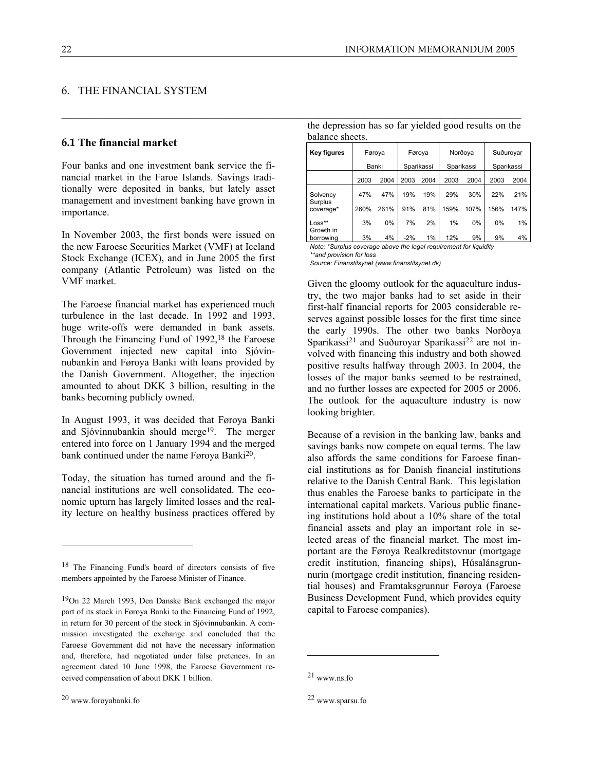## 6. THE FINANCIAL SYSTEM

#### **6.1 The financial market**

Four banks and one investment bank service the financial market in the Faroe Islands. Savings traditionally were deposited in banks, but lately asset management and investment banking have grown in importance.

In November 2003, the first bonds were issued on the new Faroese Securities Market (VMF) at Iceland Stock Exchange (ICEX), and in June 2005 the first company (Atlantic Petroleum) was listed on the VMF market.

The Faroese financial market has experienced much turbulence in the last decade. In 1992 and 1993, huge write-offs were demanded in bank assets. Through the Financing Fund of 1992,18 the Faroese Government injected new capital into Sjóvinnubankin and Føroya Banki with loans provided by the Danish Government. Altogether, the injection amounted to about DKK 3 billion, resulting in the banks becoming publicly owned.

In August 1993, it was decided that Føroya Banki and Sjóvinnubankin should merge19. The merger entered into force on 1 January 1994 and the merged bank continued under the name Føroya Banki<sup>20</sup>.

Today, the situation has turned around and the financial institutions are well consolidated. The economic upturn has largely limited losses and the reality lecture on healthy business practices offered by

l

| balance sheets.    |        |            |            |            |  |  |  |
|--------------------|--------|------------|------------|------------|--|--|--|
| <b>Key figures</b> | Føroya | Føroya     | Norðoya    | Suðurovar  |  |  |  |
|                    | Banki  | Sparikassi | Sparikassi | Sparikassi |  |  |  |

the depression has so far yielded good results on the

|                      | Banki |       | Sparikassi |      | Sparikassi |      | Sparikassi |      |
|----------------------|-------|-------|------------|------|------------|------|------------|------|
|                      | 2003  | 2004  | 2003       | 2004 | 2003       | 2004 | 2003       | 2004 |
| Solvency             | 47%   | 47%   | 19%        | 19%  | 29%        | 30%  | 22%        | 21%  |
| Surplus<br>coverage* | 260%  | 261%  | 91%        | 81%  | 159%       | 107% | 156%       | 147% |
| Loss**<br>Growth in  | 3%    | $0\%$ | 7%         | 2%   | 1%         | 0%   | 0%         | 1%   |
| borrowing            | 3%    | 4%    | $-2%$      | 1%   | 12%        | 9%   | 9%         | 4%   |

*Note: \*Surplus coverage above the legal requirement for liquidity \*\*and provision for loss* 

*Source: Finanstilsynet (www.finanstilsynet.dk)* 

 $\mathcal{L}_\mathcal{L} = \{ \mathcal{L}_\mathcal{L} = \{ \mathcal{L}_\mathcal{L} = \{ \mathcal{L}_\mathcal{L} = \{ \mathcal{L}_\mathcal{L} = \{ \mathcal{L}_\mathcal{L} = \{ \mathcal{L}_\mathcal{L} = \{ \mathcal{L}_\mathcal{L} = \{ \mathcal{L}_\mathcal{L} = \{ \mathcal{L}_\mathcal{L} = \{ \mathcal{L}_\mathcal{L} = \{ \mathcal{L}_\mathcal{L} = \{ \mathcal{L}_\mathcal{L} = \{ \mathcal{L}_\mathcal{L} = \{ \mathcal{L}_\mathcal{$ 

Given the gloomy outlook for the aquaculture industry, the two major banks had to set aside in their first-half financial reports for 2003 considerable reserves against possible losses for the first time since the early 1990s. The other two banks Norðoya Sparikassi21 and Suðuroyar Sparikassi22 are not involved with financing this industry and both showed positive results halfway through 2003. In 2004, the losses of the major banks seemed to be restrained, and no further losses are expected for 2005 or 2006. The outlook for the aquaculture industry is now looking brighter.

Because of a revision in the banking law, banks and savings banks now compete on equal terms. The law also affords the same conditions for Faroese financial institutions as for Danish financial institutions relative to the Danish Central Bank. This legislation thus enables the Faroese banks to participate in the international capital markets. Various public financing institutions hold about a 10% share of the total financial assets and play an important role in selected areas of the financial market. The most important are the Føroya Realkreditstovnur (mortgage credit institution, financing ships), Húsalánsgrunnurin (mortgage credit institution, financing residential houses) and Framtaksgrunnur Føroya (Faroese Business Development Fund, which provides equity capital to Faroese companies).

<sup>18</sup> The Financing Fund's board of directors consists of five members appointed by the Faroese Minister of Finance.

<sup>19</sup>On 22 March 1993, Den Danske Bank exchanged the major part of its stock in Føroya Banki to the Financing Fund of 1992, in return for 30 percent of the stock in Sjóvinnubankin. A commission investigated the exchange and concluded that the Faroese Government did not have the necessary information and, therefore, had negotiated under false pretences. In an agreement dated 10 June 1998, the Faroese Government received compensation of about DKK 1 billion.

<sup>21</sup> www.ns.fo

<sup>22</sup> www.sparsu.fo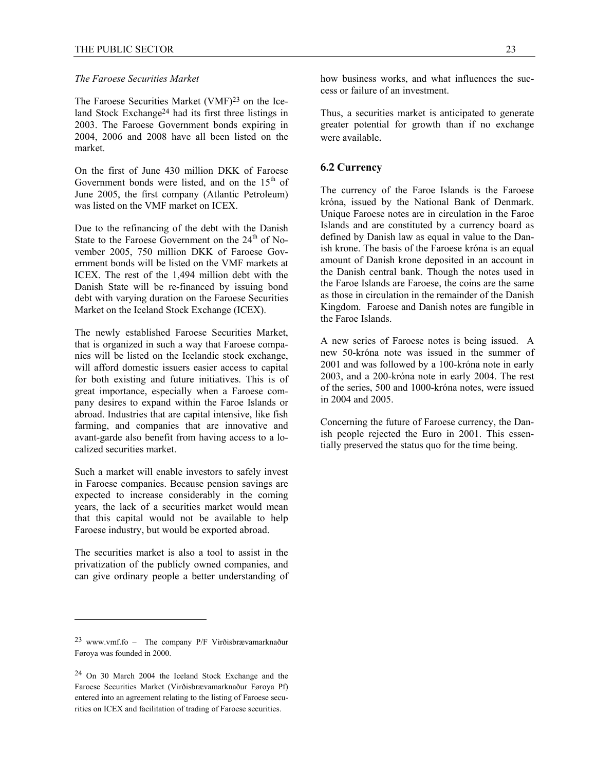#### *The Faroese Securities Market*

The Faroese Securities Market (VMF)<sup>23</sup> on the Iceland Stock Exchange24 had its first three listings in 2003. The Faroese Government bonds expiring in 2004, 2006 and 2008 have all been listed on the market.

On the first of June 430 million DKK of Faroese Government bonds were listed, and on the  $15<sup>th</sup>$  of June 2005, the first company (Atlantic Petroleum) was listed on the VMF market on ICEX.

Due to the refinancing of the debt with the Danish State to the Faroese Government on the  $24<sup>th</sup>$  of November 2005, 750 million DKK of Faroese Government bonds will be listed on the VMF markets at ICEX. The rest of the 1,494 million debt with the Danish State will be re-financed by issuing bond debt with varying duration on the Faroese Securities Market on the Iceland Stock Exchange (ICEX).

The newly established Faroese Securities Market, that is organized in such a way that Faroese companies will be listed on the Icelandic stock exchange, will afford domestic issuers easier access to capital for both existing and future initiatives. This is of great importance, especially when a Faroese company desires to expand within the Faroe Islands or abroad. Industries that are capital intensive, like fish farming, and companies that are innovative and avant-garde also benefit from having access to a localized securities market.

Such a market will enable investors to safely invest in Faroese companies. Because pension savings are expected to increase considerably in the coming years, the lack of a securities market would mean that this capital would not be available to help Faroese industry, but would be exported abroad.

The securities market is also a tool to assist in the privatization of the publicly owned companies, and can give ordinary people a better understanding of

 $\overline{a}$ 

how business works, and what influences the success or failure of an investment.

Thus, a securities market is anticipated to generate greater potential for growth than if no exchange were available.

#### **6.2 Currency**

The currency of the Faroe Islands is the Faroese króna, issued by the National Bank of Denmark. Unique Faroese notes are in circulation in the Faroe Islands and are constituted by a currency board as defined by Danish law as equal in value to the Danish krone. The basis of the Faroese króna is an equal amount of Danish krone deposited in an account in the Danish central bank. Though the notes used in the Faroe Islands are Faroese, the coins are the same as those in circulation in the remainder of the Danish Kingdom. Faroese and Danish notes are fungible in the Faroe Islands.

A new series of Faroese notes is being issued. A new 50-króna note was issued in the summer of 2001 and was followed by a 100-króna note in early 2003, and a 200-króna note in early 2004. The rest of the series, 500 and 1000-króna notes, were issued in 2004 and 2005.

Concerning the future of Faroese currency, the Danish people rejected the Euro in 2001. This essentially preserved the status quo for the time being.

<sup>23</sup> www.vmf.fo – The company P/F Virðisbrævamarknaður Føroya was founded in 2000.

<sup>24</sup> On 30 March 2004 the Iceland Stock Exchange and the Faroese Securities Market (Virðisbrævamarknaður Føroya Pf) entered into an agreement relating to the listing of Faroese securities on ICEX and facilitation of trading of Faroese securities.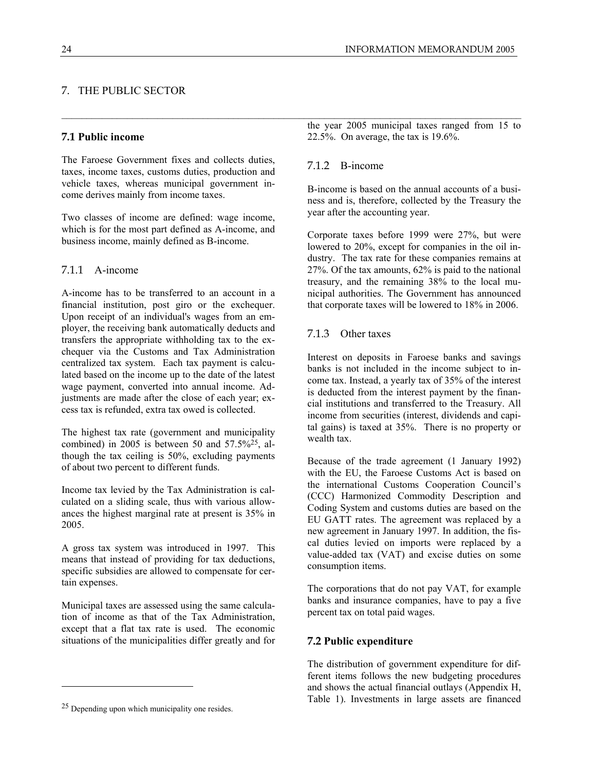7. THE PUBLIC SECTOR

The Faroese Government fixes and collects duties, taxes, income taxes, customs duties, production and vehicle taxes, whereas municipal government income derives mainly from income taxes.

Two classes of income are defined: wage income, which is for the most part defined as A-income, and business income, mainly defined as B-income.

### 7.1.1 A-income

A-income has to be transferred to an account in a financial institution, post giro or the exchequer. Upon receipt of an individual's wages from an employer, the receiving bank automatically deducts and transfers the appropriate withholding tax to the exchequer via the Customs and Tax Administration centralized tax system. Each tax payment is calculated based on the income up to the date of the latest wage payment, converted into annual income. Adjustments are made after the close of each year; excess tax is refunded, extra tax owed is collected.

The highest tax rate (government and municipality combined) in 2005 is between 50 and  $57.5\frac{625}{6}$ , although the tax ceiling is 50%, excluding payments of about two percent to different funds.

Income tax levied by the Tax Administration is calculated on a sliding scale, thus with various allowances the highest marginal rate at present is 35% in 2005.

A gross tax system was introduced in 1997. This means that instead of providing for tax deductions, specific subsidies are allowed to compensate for certain expenses.

Municipal taxes are assessed using the same calculation of income as that of the Tax Administration, except that a flat tax rate is used. The economic situations of the municipalities differ greatly and for

l

the year 2005 municipal taxes ranged from 15 to 22.5%. On average, the tax is 19.6%.

## 7.1.2 B-income

 $\_$  , and the state of the state of the state of the state of the state of the state of the state of the state of the state of the state of the state of the state of the state of the state of the state of the state of the

B-income is based on the annual accounts of a business and is, therefore, collected by the Treasury the year after the accounting year.

Corporate taxes before 1999 were 27%, but were lowered to 20%, except for companies in the oil industry. The tax rate for these companies remains at 27%. Of the tax amounts, 62% is paid to the national treasury, and the remaining 38% to the local municipal authorities. The Government has announced that corporate taxes will be lowered to 18% in 2006.

## 7.1.3 Other taxes

Interest on deposits in Faroese banks and savings banks is not included in the income subject to income tax. Instead, a yearly tax of 35% of the interest is deducted from the interest payment by the financial institutions and transferred to the Treasury. All income from securities (interest, dividends and capital gains) is taxed at 35%. There is no property or wealth tax.

Because of the trade agreement (1 January 1992) with the EU, the Faroese Customs Act is based on the international Customs Cooperation Council's (CCC) Harmonized Commodity Description and Coding System and customs duties are based on the EU GATT rates. The agreement was replaced by a new agreement in January 1997. In addition, the fiscal duties levied on imports were replaced by a value-added tax (VAT) and excise duties on some consumption items.

The corporations that do not pay VAT, for example banks and insurance companies, have to pay a five percent tax on total paid wages.

#### **7.2 Public expenditure**

The distribution of government expenditure for different items follows the new budgeting procedures and shows the actual financial outlays (Appendix H, Table 1). Investments in large assets are financed

<sup>25</sup> Depending upon which municipality one resides.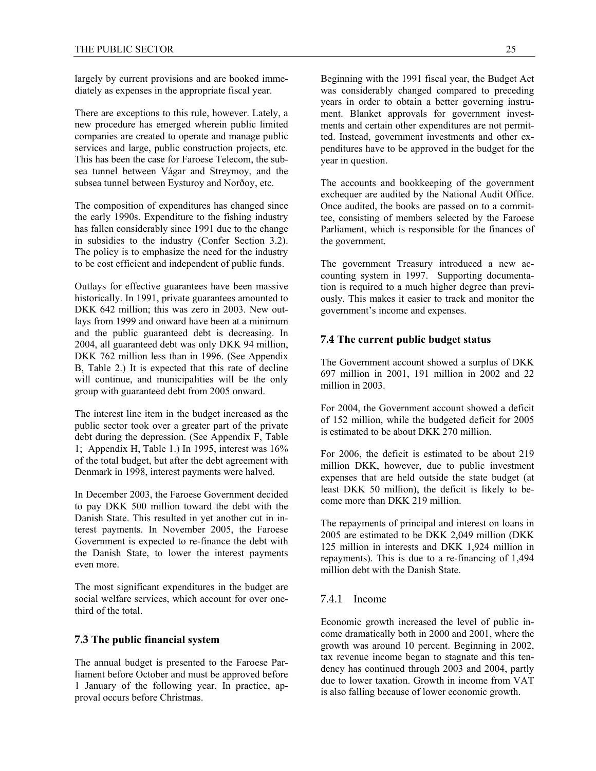largely by current provisions and are booked immediately as expenses in the appropriate fiscal year.

There are exceptions to this rule, however. Lately, a new procedure has emerged wherein public limited companies are created to operate and manage public services and large, public construction projects, etc. This has been the case for Faroese Telecom, the subsea tunnel between Vágar and Streymoy, and the subsea tunnel between Eysturoy and Norðoy, etc.

The composition of expenditures has changed since the early 1990s. Expenditure to the fishing industry has fallen considerably since 1991 due to the change in subsidies to the industry (Confer Section 3.2). The policy is to emphasize the need for the industry to be cost efficient and independent of public funds.

Outlays for effective guarantees have been massive historically. In 1991, private guarantees amounted to DKK 642 million; this was zero in 2003. New outlays from 1999 and onward have been at a minimum and the public guaranteed debt is decreasing. In 2004, all guaranteed debt was only DKK 94 million, DKK 762 million less than in 1996. (See Appendix B, Table 2.) It is expected that this rate of decline will continue, and municipalities will be the only group with guaranteed debt from 2005 onward.

The interest line item in the budget increased as the public sector took over a greater part of the private debt during the depression. (See Appendix F, Table 1; Appendix H, Table 1.) In 1995, interest was 16% of the total budget, but after the debt agreement with Denmark in 1998, interest payments were halved.

In December 2003, the Faroese Government decided to pay DKK 500 million toward the debt with the Danish State. This resulted in yet another cut in interest payments. In November 2005, the Faroese Government is expected to re-finance the debt with the Danish State, to lower the interest payments even more.

The most significant expenditures in the budget are social welfare services, which account for over onethird of the total.

#### **7.3 The public financial system**

The annual budget is presented to the Faroese Parliament before October and must be approved before 1 January of the following year. In practice, approval occurs before Christmas.

Beginning with the 1991 fiscal year, the Budget Act was considerably changed compared to preceding years in order to obtain a better governing instrument. Blanket approvals for government investments and certain other expenditures are not permitted. Instead, government investments and other expenditures have to be approved in the budget for the year in question.

The accounts and bookkeeping of the government exchequer are audited by the National Audit Office. Once audited, the books are passed on to a committee, consisting of members selected by the Faroese Parliament, which is responsible for the finances of the government.

The government Treasury introduced a new accounting system in 1997. Supporting documentation is required to a much higher degree than previously. This makes it easier to track and monitor the government's income and expenses.

## **7.4 The current public budget status**

The Government account showed a surplus of DKK 697 million in 2001, 191 million in 2002 and 22 million in 2003.

For 2004, the Government account showed a deficit of 152 million, while the budgeted deficit for 2005 is estimated to be about DKK 270 million.

For 2006, the deficit is estimated to be about 219 million DKK, however, due to public investment expenses that are held outside the state budget (at least DKK 50 million), the deficit is likely to become more than DKK 219 million.

The repayments of principal and interest on loans in 2005 are estimated to be DKK 2,049 million (DKK 125 million in interests and DKK 1,924 million in repayments). This is due to a re-financing of 1,494 million debt with the Danish State.

#### 7.4.1 Income

Economic growth increased the level of public income dramatically both in 2000 and 2001, where the growth was around 10 percent. Beginning in 2002, tax revenue income began to stagnate and this tendency has continued through 2003 and 2004, partly due to lower taxation. Growth in income from VAT is also falling because of lower economic growth.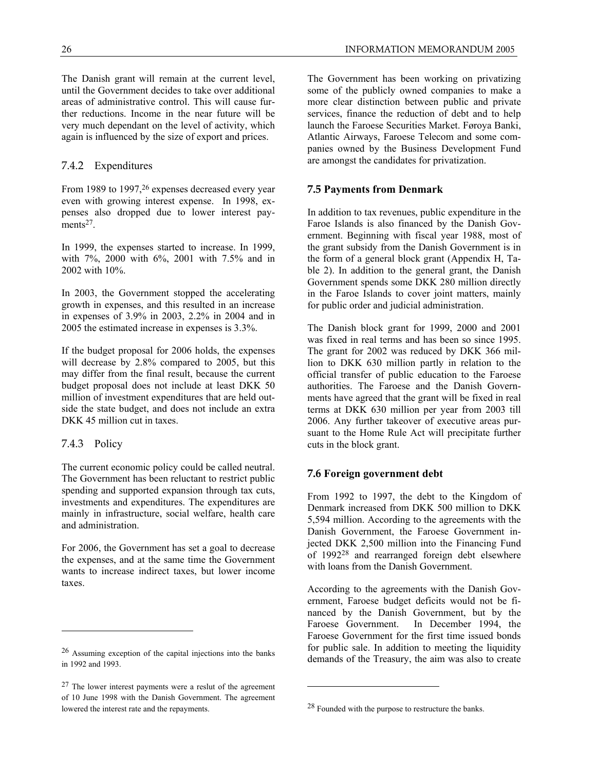The Danish grant will remain at the current level, until the Government decides to take over additional areas of administrative control. This will cause further reductions. Income in the near future will be very much dependant on the level of activity, which again is influenced by the size of export and prices.

## 7.4.2 Expenditures

From 1989 to 1997,<sup>26</sup> expenses decreased every year even with growing interest expense. In 1998, expenses also dropped due to lower interest payments<sup>27</sup>

In 1999, the expenses started to increase. In 1999, with 7%, 2000 with 6%, 2001 with 7.5% and in 2002 with 10%.

In 2003, the Government stopped the accelerating growth in expenses, and this resulted in an increase in expenses of 3.9% in 2003, 2.2% in 2004 and in 2005 the estimated increase in expenses is 3.3%.

If the budget proposal for 2006 holds, the expenses will decrease by 2.8% compared to 2005, but this may differ from the final result, because the current budget proposal does not include at least DKK 50 million of investment expenditures that are held outside the state budget, and does not include an extra DKK 45 million cut in taxes.

## 7.4.3 Policy

 $\overline{a}$ 

The current economic policy could be called neutral. The Government has been reluctant to restrict public spending and supported expansion through tax cuts, investments and expenditures. The expenditures are mainly in infrastructure, social welfare, health care and administration.

For 2006, the Government has set a goal to decrease the expenses, and at the same time the Government wants to increase indirect taxes, but lower income taxes.

The Government has been working on privatizing some of the publicly owned companies to make a more clear distinction between public and private services, finance the reduction of debt and to help launch the Faroese Securities Market. Føroya Banki, Atlantic Airways, Faroese Telecom and some companies owned by the Business Development Fund are amongst the candidates for privatization.

#### **7.5 Payments from Denmark**

In addition to tax revenues, public expenditure in the Faroe Islands is also financed by the Danish Government. Beginning with fiscal year 1988, most of the grant subsidy from the Danish Government is in the form of a general block grant (Appendix H, Table 2). In addition to the general grant, the Danish Government spends some DKK 280 million directly in the Faroe Islands to cover joint matters, mainly for public order and judicial administration.

The Danish block grant for 1999, 2000 and 2001 was fixed in real terms and has been so since 1995. The grant for 2002 was reduced by DKK 366 million to DKK 630 million partly in relation to the official transfer of public education to the Faroese authorities. The Faroese and the Danish Governments have agreed that the grant will be fixed in real terms at DKK 630 million per year from 2003 till 2006. Any further takeover of executive areas pursuant to the Home Rule Act will precipitate further cuts in the block grant.

## **7.6 Foreign government debt**

From 1992 to 1997, the debt to the Kingdom of Denmark increased from DKK 500 million to DKK 5,594 million. According to the agreements with the Danish Government, the Faroese Government injected DKK 2,500 million into the Financing Fund of 199228 and rearranged foreign debt elsewhere with loans from the Danish Government.

According to the agreements with the Danish Government, Faroese budget deficits would not be financed by the Danish Government, but by the Faroese Government. In December 1994, the Faroese Government for the first time issued bonds for public sale. In addition to meeting the liquidity demands of the Treasury, the aim was also to create

l

<sup>26</sup> Assuming exception of the capital injections into the banks in 1992 and 1993.

 $27$  The lower interest payments were a reslut of the agreement of 10 June 1998 with the Danish Government. The agreement lowered the interest rate and the repayments.

<sup>28</sup> Founded with the purpose to restructure the banks.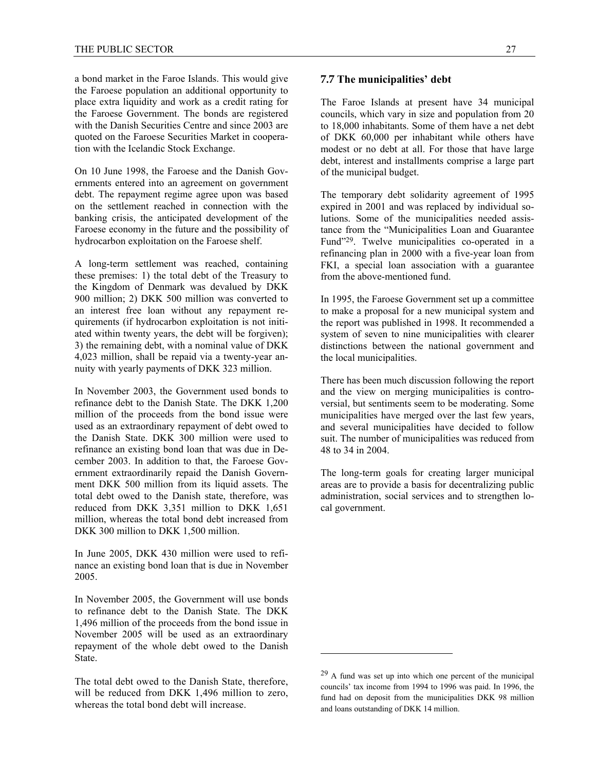a bond market in the Faroe Islands. This would give the Faroese population an additional opportunity to place extra liquidity and work as a credit rating for the Faroese Government. The bonds are registered with the Danish Securities Centre and since 2003 are quoted on the Faroese Securities Market in cooperation with the Icelandic Stock Exchange.

On 10 June 1998, the Faroese and the Danish Governments entered into an agreement on government debt. The repayment regime agree upon was based on the settlement reached in connection with the banking crisis, the anticipated development of the Faroese economy in the future and the possibility of hydrocarbon exploitation on the Faroese shelf.

A long-term settlement was reached, containing these premises: 1) the total debt of the Treasury to the Kingdom of Denmark was devalued by DKK 900 million; 2) DKK 500 million was converted to an interest free loan without any repayment requirements (if hydrocarbon exploitation is not initiated within twenty years, the debt will be forgiven); 3) the remaining debt, with a nominal value of DKK 4,023 million, shall be repaid via a twenty-year annuity with yearly payments of DKK 323 million.

In November 2003, the Government used bonds to refinance debt to the Danish State. The DKK 1,200 million of the proceeds from the bond issue were used as an extraordinary repayment of debt owed to the Danish State. DKK 300 million were used to refinance an existing bond loan that was due in December 2003. In addition to that, the Faroese Government extraordinarily repaid the Danish Government DKK 500 million from its liquid assets. The total debt owed to the Danish state, therefore, was reduced from DKK 3,351 million to DKK 1,651 million, whereas the total bond debt increased from DKK 300 million to DKK 1,500 million.

In June 2005, DKK 430 million were used to refinance an existing bond loan that is due in November 2005.

In November 2005, the Government will use bonds to refinance debt to the Danish State. The DKK 1,496 million of the proceeds from the bond issue in November 2005 will be used as an extraordinary repayment of the whole debt owed to the Danish State.

The total debt owed to the Danish State, therefore, will be reduced from DKK 1,496 million to zero, whereas the total bond debt will increase.

#### **7.7 The municipalities' debt**

The Faroe Islands at present have 34 municipal councils, which vary in size and population from 20 to 18,000 inhabitants. Some of them have a net debt of DKK 60,000 per inhabitant while others have modest or no debt at all. For those that have large debt, interest and installments comprise a large part of the municipal budget.

The temporary debt solidarity agreement of 1995 expired in 2001 and was replaced by individual solutions. Some of the municipalities needed assistance from the "Municipalities Loan and Guarantee Fund"29. Twelve municipalities co-operated in a refinancing plan in 2000 with a five-year loan from FKI, a special loan association with a guarantee from the above-mentioned fund.

In 1995, the Faroese Government set up a committee to make a proposal for a new municipal system and the report was published in 1998. It recommended a system of seven to nine municipalities with clearer distinctions between the national government and the local municipalities.

There has been much discussion following the report and the view on merging municipalities is controversial, but sentiments seem to be moderating. Some municipalities have merged over the last few years, and several municipalities have decided to follow suit. The number of municipalities was reduced from 48 to 34 in 2004.

The long-term goals for creating larger municipal areas are to provide a basis for decentralizing public administration, social services and to strengthen local government.

 $29$  A fund was set up into which one percent of the municipal councils' tax income from 1994 to 1996 was paid. In 1996, the fund had on deposit from the municipalities DKK 98 million and loans outstanding of DKK 14 million.